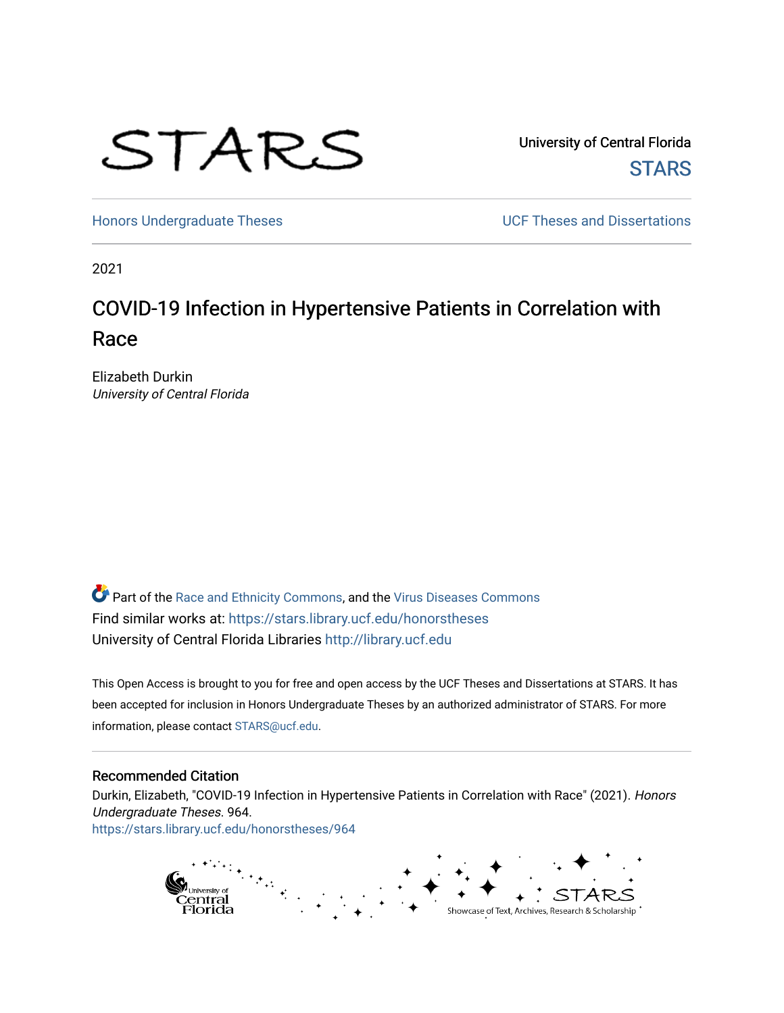

University of Central Florida **STARS** 

[Honors Undergraduate Theses](https://stars.library.ucf.edu/honorstheses) **Exercise 2018** UCF Theses and Dissertations

2021

# COVID-19 Infection in Hypertensive Patients in Correlation with Race

Elizabeth Durkin University of Central Florida

Part of the [Race and Ethnicity Commons,](http://network.bepress.com/hgg/discipline/426?utm_source=stars.library.ucf.edu%2Fhonorstheses%2F964&utm_medium=PDF&utm_campaign=PDFCoverPages) and the [Virus Diseases Commons](http://network.bepress.com/hgg/discipline/998?utm_source=stars.library.ucf.edu%2Fhonorstheses%2F964&utm_medium=PDF&utm_campaign=PDFCoverPages)  Find similar works at: <https://stars.library.ucf.edu/honorstheses> University of Central Florida Libraries [http://library.ucf.edu](http://library.ucf.edu/) 

This Open Access is brought to you for free and open access by the UCF Theses and Dissertations at STARS. It has been accepted for inclusion in Honors Undergraduate Theses by an authorized administrator of STARS. For more information, please contact [STARS@ucf.edu.](mailto:STARS@ucf.edu)

#### Recommended Citation

Durkin, Elizabeth, "COVID-19 Infection in Hypertensive Patients in Correlation with Race" (2021). Honors Undergraduate Theses. 964. [https://stars.library.ucf.edu/honorstheses/964](https://stars.library.ucf.edu/honorstheses/964?utm_source=stars.library.ucf.edu%2Fhonorstheses%2F964&utm_medium=PDF&utm_campaign=PDFCoverPages) 

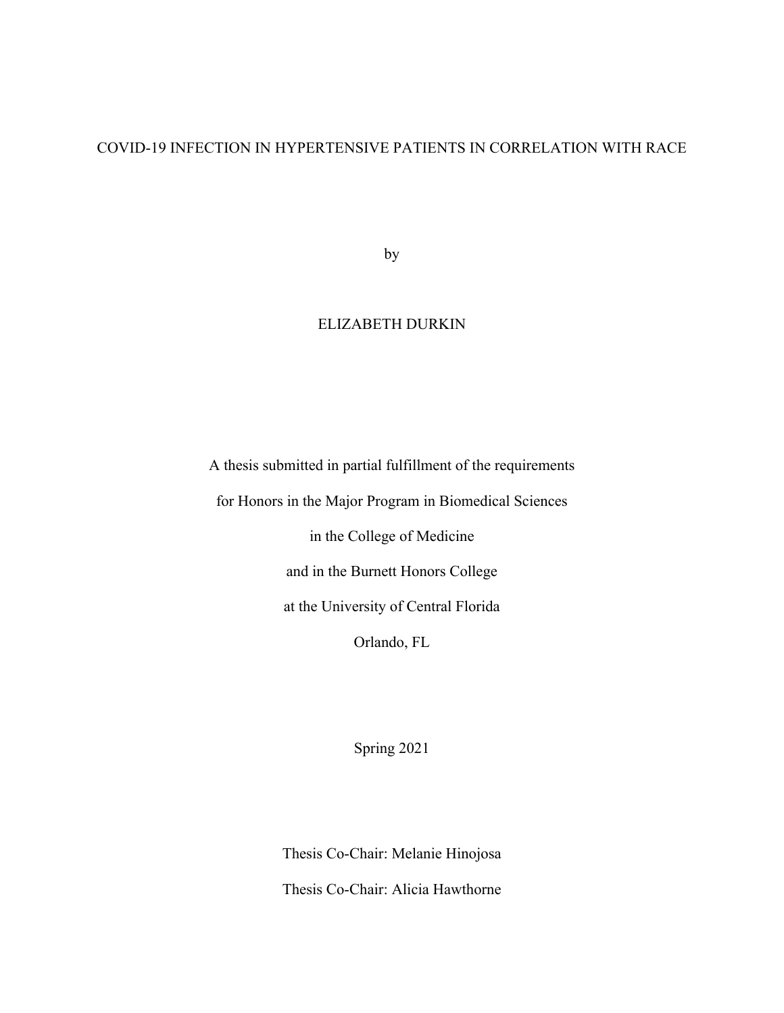## COVID-19 INFECTION IN HYPERTENSIVE PATIENTS IN CORRELATION WITH RACE

by

## ELIZABETH DURKIN

A thesis submitted in partial fulfillment of the requirements

for Honors in the Major Program in Biomedical Sciences

in the College of Medicine

and in the Burnett Honors College

at the University of Central Florida

Orlando, FL

Spring 2021

Thesis Co-Chair: Melanie Hinojosa Thesis Co-Chair: Alicia Hawthorne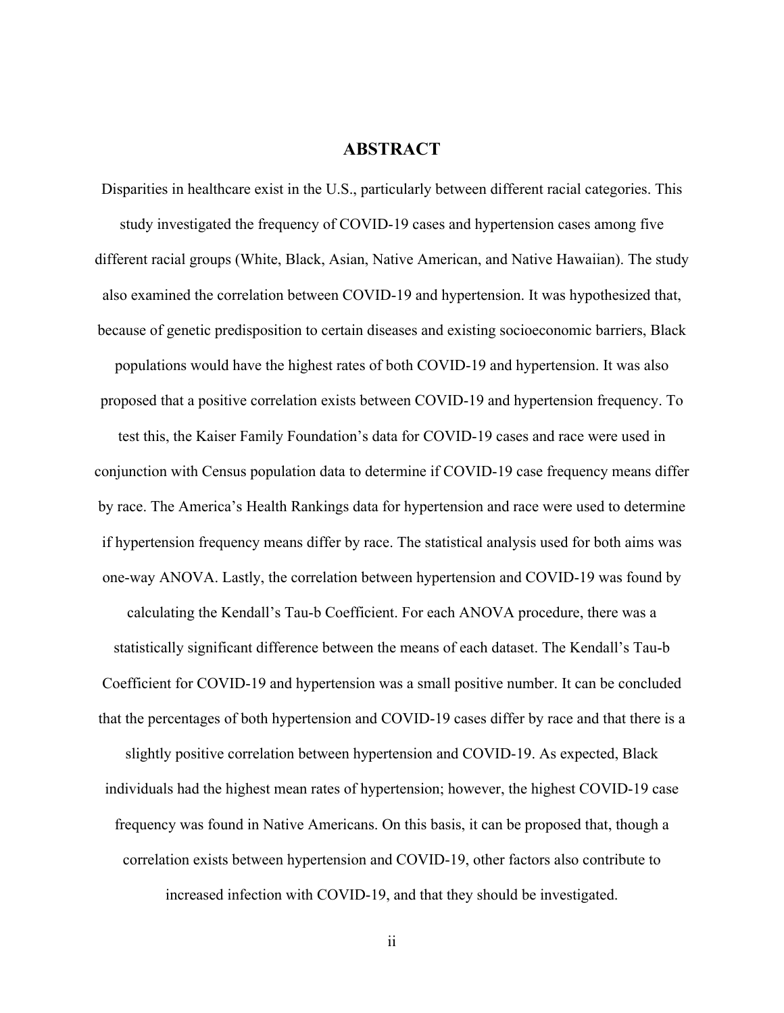### **ABSTRACT**

Disparities in healthcare exist in the U.S., particularly between different racial categories. This study investigated the frequency of COVID-19 cases and hypertension cases among five different racial groups (White, Black, Asian, Native American, and Native Hawaiian). The study also examined the correlation between COVID-19 and hypertension. It was hypothesized that, because of genetic predisposition to certain diseases and existing socioeconomic barriers, Black populations would have the highest rates of both COVID-19 and hypertension. It was also proposed that a positive correlation exists between COVID-19 and hypertension frequency. To test this, the Kaiser Family Foundation's data for COVID-19 cases and race were used in conjunction with Census population data to determine if COVID-19 case frequency means differ by race. The America's Health Rankings data for hypertension and race were used to determine if hypertension frequency means differ by race. The statistical analysis used for both aims was one-way ANOVA. Lastly, the correlation between hypertension and COVID-19 was found by calculating the Kendall's Tau-b Coefficient. For each ANOVA procedure, there was a statistically significant difference between the means of each dataset. The Kendall's Tau-b Coefficient for COVID-19 and hypertension was a small positive number. It can be concluded that the percentages of both hypertension and COVID-19 cases differ by race and that there is a slightly positive correlation between hypertension and COVID-19. As expected, Black individuals had the highest mean rates of hypertension; however, the highest COVID-19 case frequency was found in Native Americans. On this basis, it can be proposed that, though a

correlation exists between hypertension and COVID-19, other factors also contribute to increased infection with COVID-19, and that they should be investigated.

ii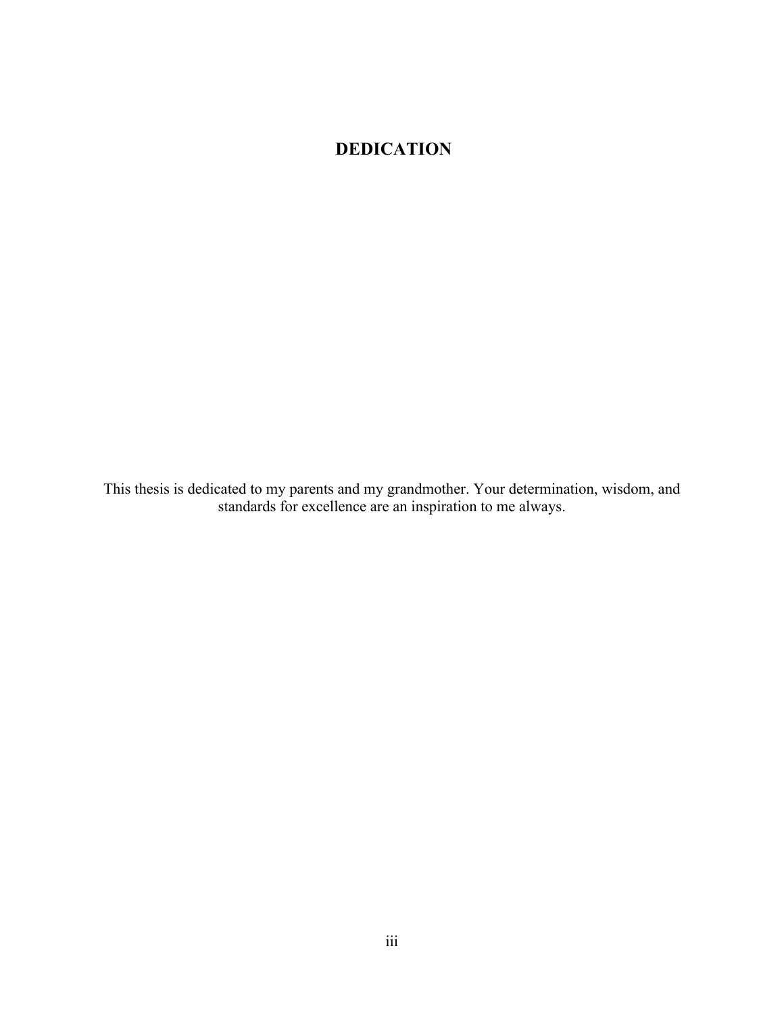## **DEDICATION**

This thesis is dedicated to my parents and my grandmother. Your determination, wisdom, and standards for excellence are an inspiration to me always.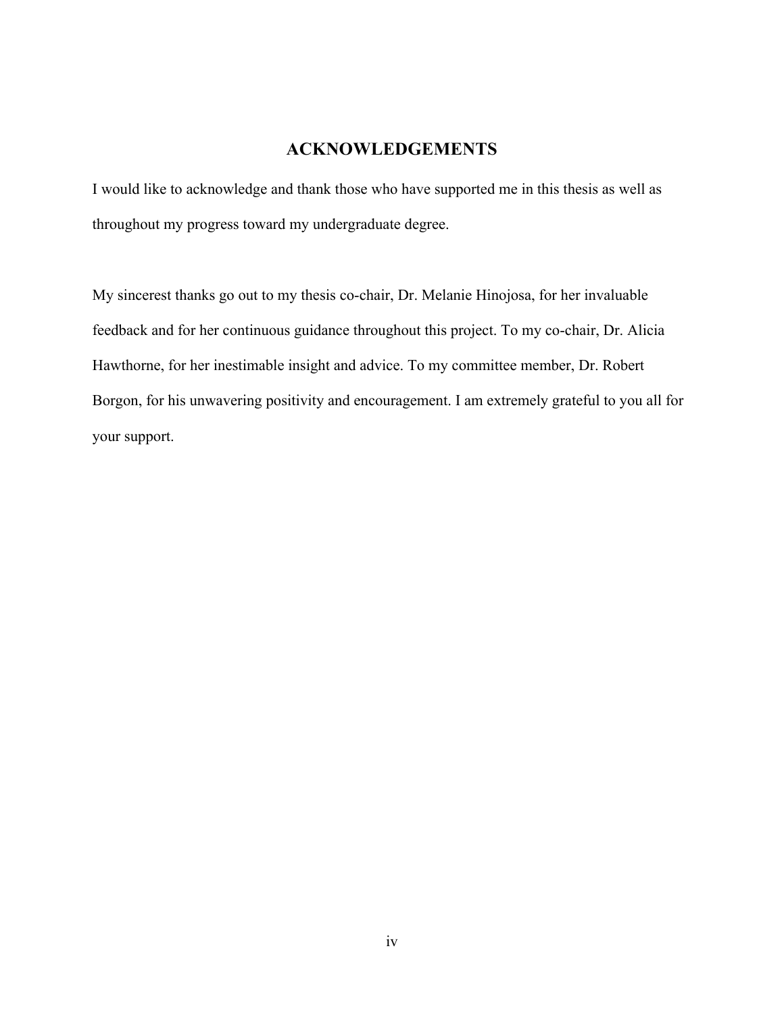## **ACKNOWLEDGEMENTS**

I would like to acknowledge and thank those who have supported me in this thesis as well as throughout my progress toward my undergraduate degree.

My sincerest thanks go out to my thesis co-chair, Dr. Melanie Hinojosa, for her invaluable feedback and for her continuous guidance throughout this project. To my co-chair, Dr. Alicia Hawthorne, for her inestimable insight and advice. To my committee member, Dr. Robert Borgon, for his unwavering positivity and encouragement. I am extremely grateful to you all for your support.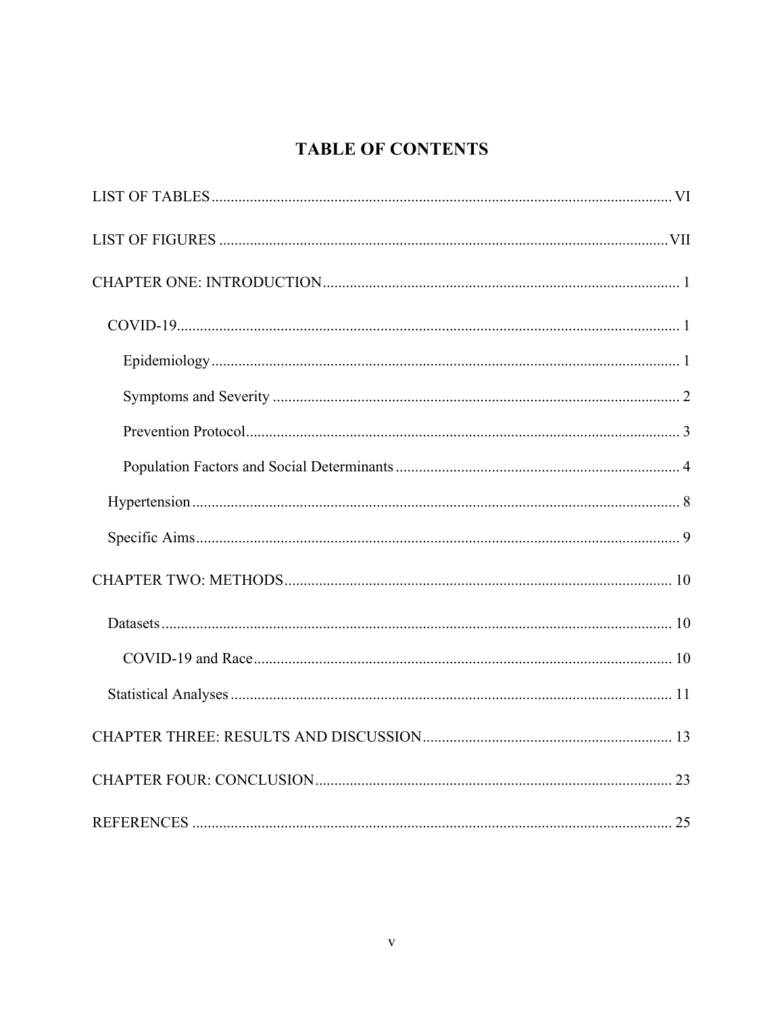## **TABLE OF CONTENTS**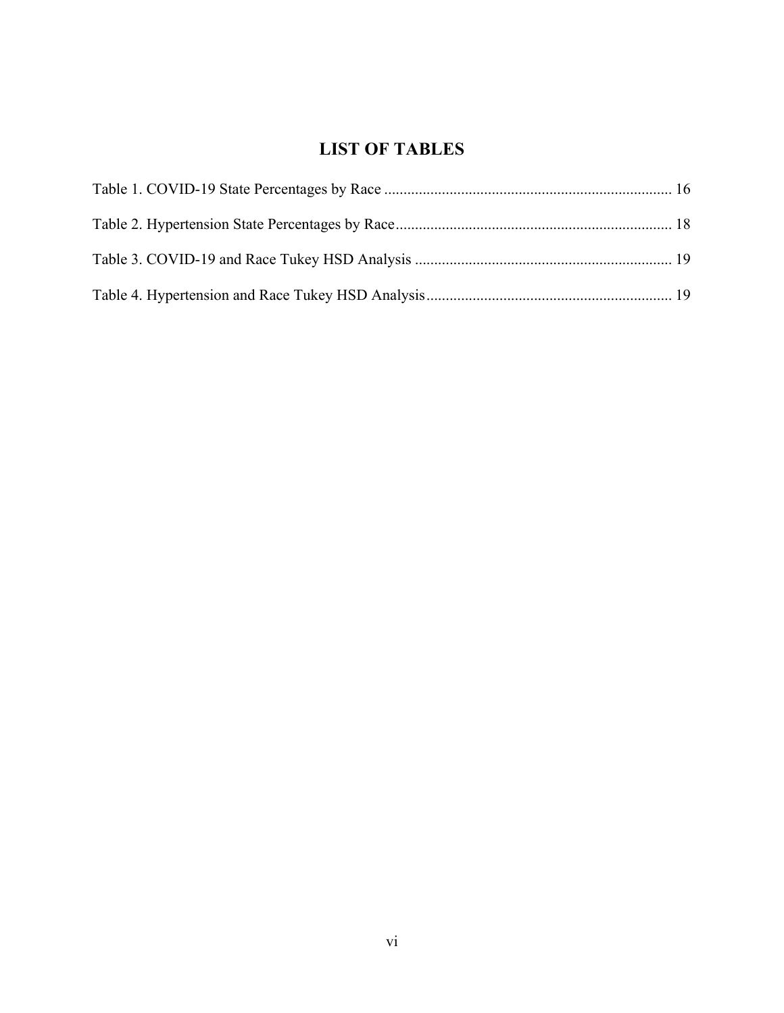## **LIST OF TABLES**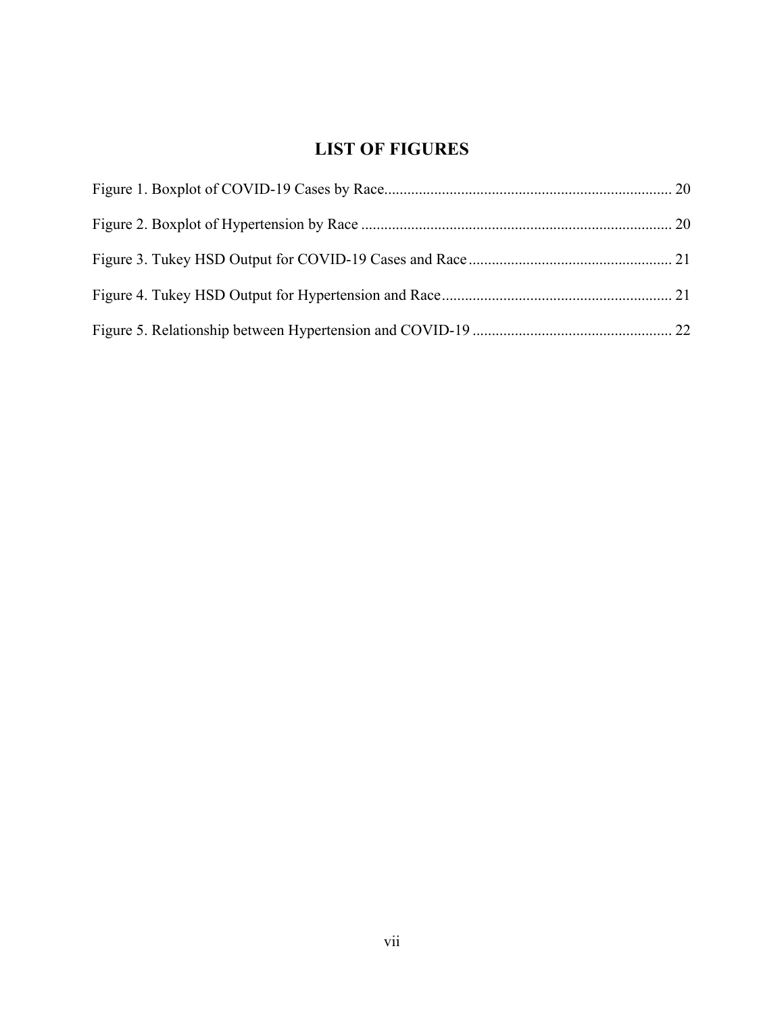## **LIST OF FIGURES**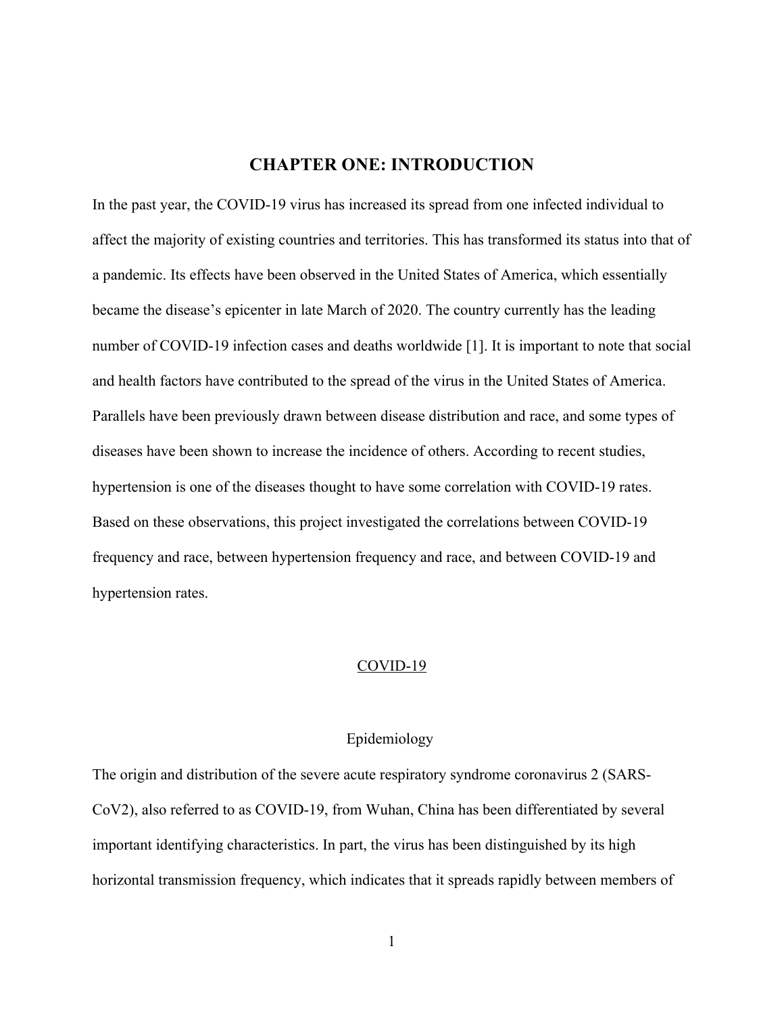## **CHAPTER ONE: INTRODUCTION**

In the past year, the COVID-19 virus has increased its spread from one infected individual to affect the majority of existing countries and territories. This has transformed its status into that of a pandemic. Its effects have been observed in the United States of America, which essentially became the disease's epicenter in late March of 2020. The country currently has the leading number of COVID-19 infection cases and deaths worldwide [1]. It is important to note that social and health factors have contributed to the spread of the virus in the United States of America. Parallels have been previously drawn between disease distribution and race, and some types of diseases have been shown to increase the incidence of others. According to recent studies, hypertension is one of the diseases thought to have some correlation with COVID-19 rates. Based on these observations, this project investigated the correlations between COVID-19 frequency and race, between hypertension frequency and race, and between COVID-19 and hypertension rates.

#### COVID-19

#### Epidemiology

The origin and distribution of the severe acute respiratory syndrome coronavirus 2 (SARS-CoV2), also referred to as COVID-19, from Wuhan, China has been differentiated by several important identifying characteristics. In part, the virus has been distinguished by its high horizontal transmission frequency, which indicates that it spreads rapidly between members of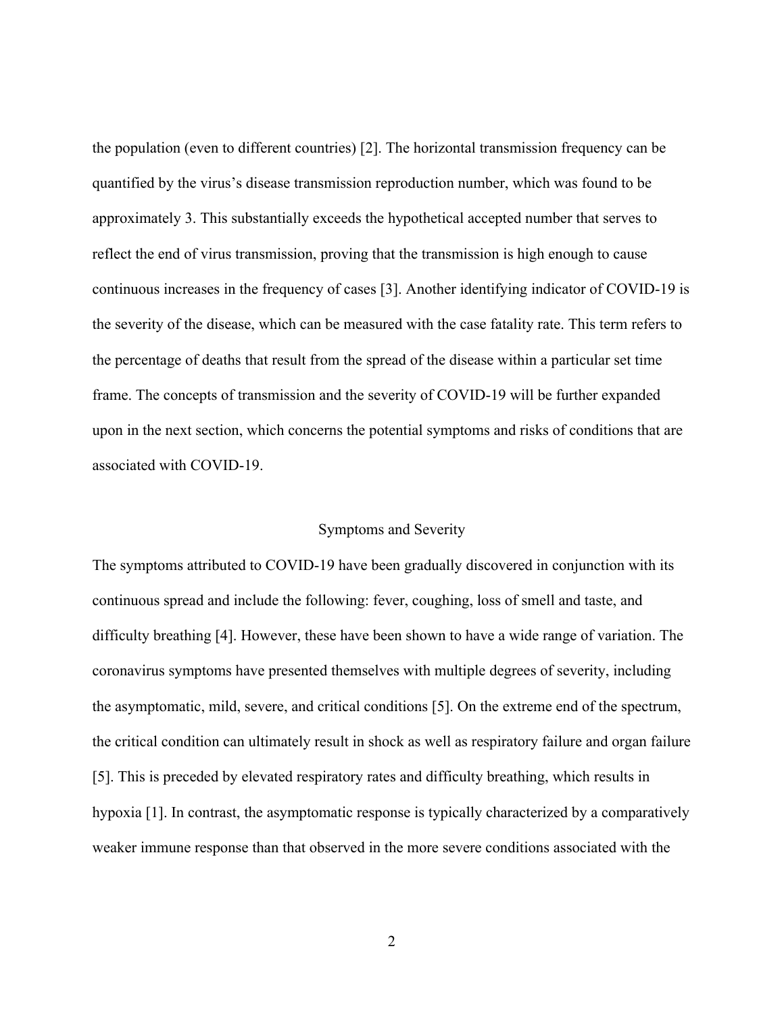the population (even to different countries) [2]. The horizontal transmission frequency can be quantified by the virus's disease transmission reproduction number, which was found to be approximately 3. This substantially exceeds the hypothetical accepted number that serves to reflect the end of virus transmission, proving that the transmission is high enough to cause continuous increases in the frequency of cases [3]. Another identifying indicator of COVID-19 is the severity of the disease, which can be measured with the case fatality rate. This term refers to the percentage of deaths that result from the spread of the disease within a particular set time frame. The concepts of transmission and the severity of COVID-19 will be further expanded upon in the next section, which concerns the potential symptoms and risks of conditions that are associated with COVID-19.

#### Symptoms and Severity

The symptoms attributed to COVID-19 have been gradually discovered in conjunction with its continuous spread and include the following: fever, coughing, loss of smell and taste, and difficulty breathing [4]. However, these have been shown to have a wide range of variation. The coronavirus symptoms have presented themselves with multiple degrees of severity, including the asymptomatic, mild, severe, and critical conditions [5]. On the extreme end of the spectrum, the critical condition can ultimately result in shock as well as respiratory failure and organ failure [5]. This is preceded by elevated respiratory rates and difficulty breathing, which results in hypoxia [1]. In contrast, the asymptomatic response is typically characterized by a comparatively weaker immune response than that observed in the more severe conditions associated with the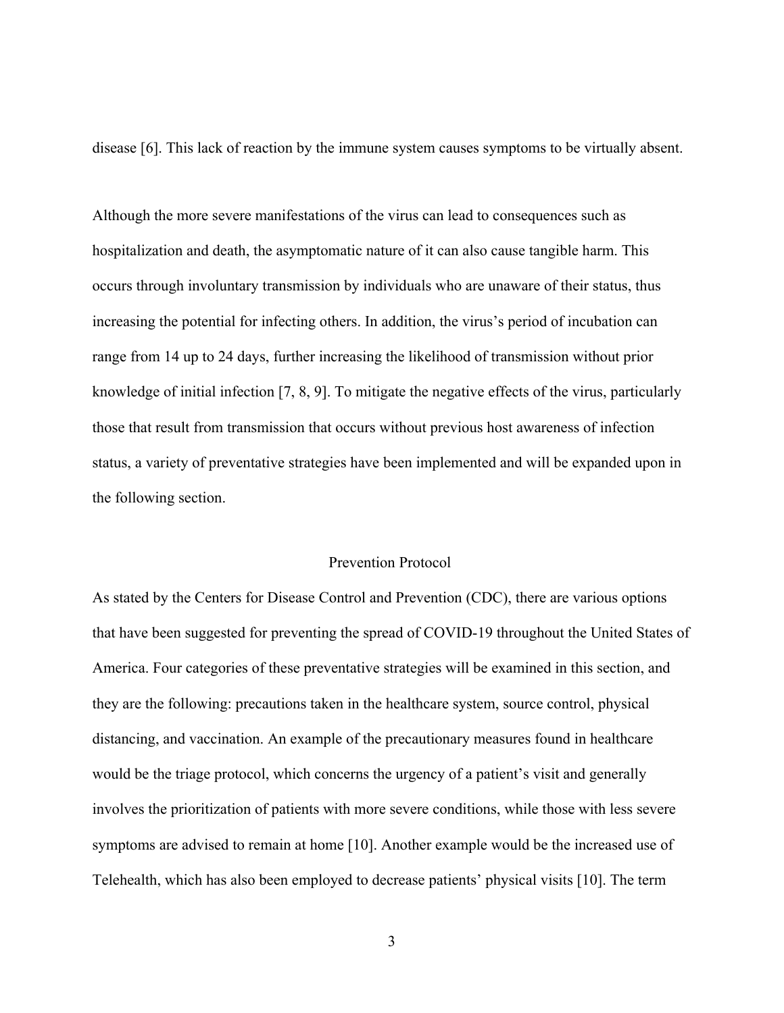disease [6]. This lack of reaction by the immune system causes symptoms to be virtually absent.

Although the more severe manifestations of the virus can lead to consequences such as hospitalization and death, the asymptomatic nature of it can also cause tangible harm. This occurs through involuntary transmission by individuals who are unaware of their status, thus increasing the potential for infecting others. In addition, the virus's period of incubation can range from 14 up to 24 days, further increasing the likelihood of transmission without prior knowledge of initial infection [7, 8, 9]. To mitigate the negative effects of the virus, particularly those that result from transmission that occurs without previous host awareness of infection status, a variety of preventative strategies have been implemented and will be expanded upon in the following section.

#### Prevention Protocol

As stated by the Centers for Disease Control and Prevention (CDC), there are various options that have been suggested for preventing the spread of COVID-19 throughout the United States of America. Four categories of these preventative strategies will be examined in this section, and they are the following: precautions taken in the healthcare system, source control, physical distancing, and vaccination. An example of the precautionary measures found in healthcare would be the triage protocol, which concerns the urgency of a patient's visit and generally involves the prioritization of patients with more severe conditions, while those with less severe symptoms are advised to remain at home [10]. Another example would be the increased use of Telehealth, which has also been employed to decrease patients' physical visits [10]. The term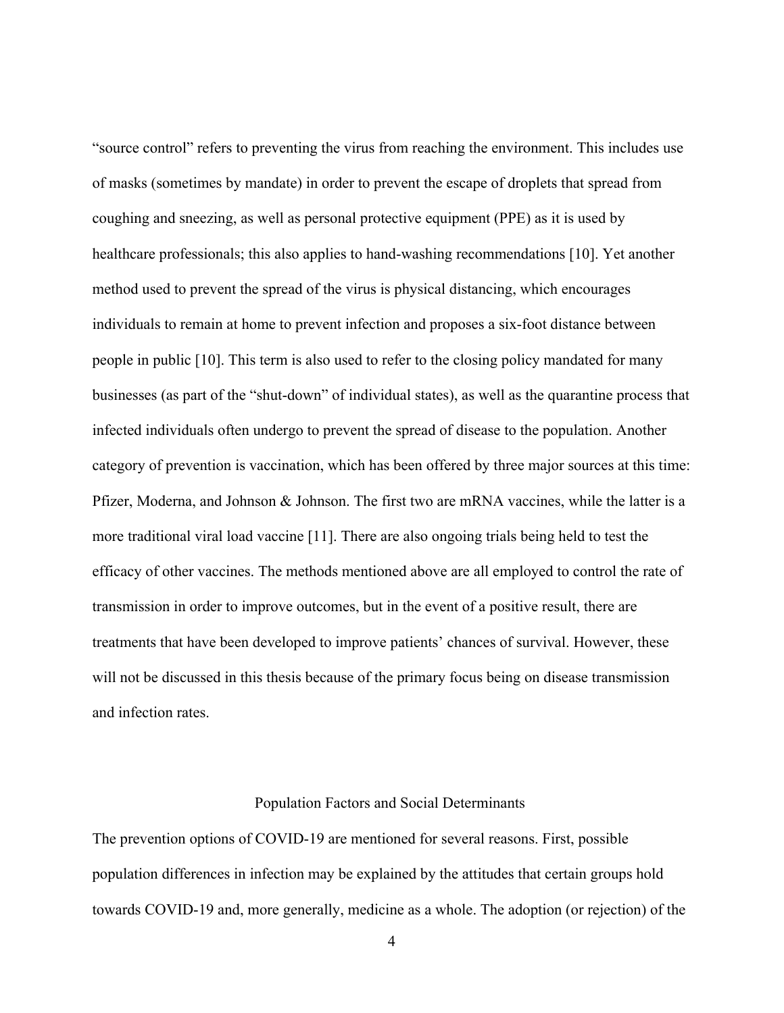"source control" refers to preventing the virus from reaching the environment. This includes use of masks (sometimes by mandate) in order to prevent the escape of droplets that spread from coughing and sneezing, as well as personal protective equipment (PPE) as it is used by healthcare professionals; this also applies to hand-washing recommendations [10]. Yet another method used to prevent the spread of the virus is physical distancing, which encourages individuals to remain at home to prevent infection and proposes a six-foot distance between people in public [10]. This term is also used to refer to the closing policy mandated for many businesses (as part of the "shut-down" of individual states), as well as the quarantine process that infected individuals often undergo to prevent the spread of disease to the population. Another category of prevention is vaccination, which has been offered by three major sources at this time: Pfizer, Moderna, and Johnson & Johnson. The first two are mRNA vaccines, while the latter is a more traditional viral load vaccine [11]. There are also ongoing trials being held to test the efficacy of other vaccines. The methods mentioned above are all employed to control the rate of transmission in order to improve outcomes, but in the event of a positive result, there are treatments that have been developed to improve patients' chances of survival. However, these will not be discussed in this thesis because of the primary focus being on disease transmission and infection rates.

#### Population Factors and Social Determinants

The prevention options of COVID-19 are mentioned for several reasons. First, possible population differences in infection may be explained by the attitudes that certain groups hold towards COVID-19 and, more generally, medicine as a whole. The adoption (or rejection) of the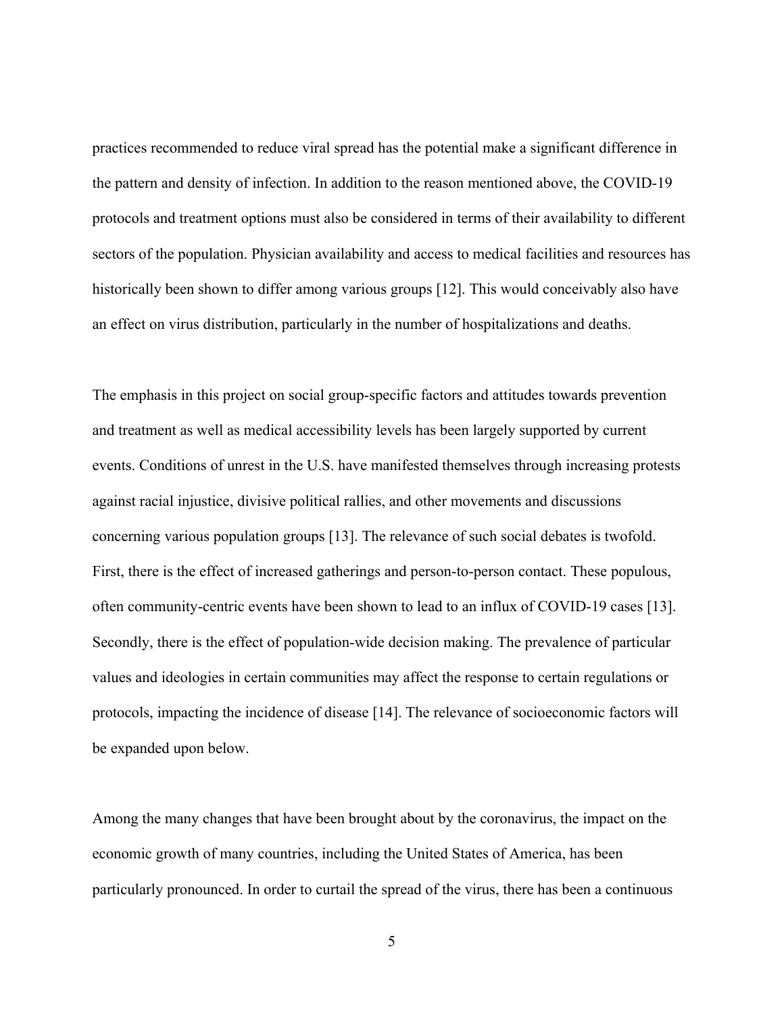practices recommended to reduce viral spread has the potential make a significant difference in the pattern and density of infection. In addition to the reason mentioned above, the COVID-19 protocols and treatment options must also be considered in terms of their availability to different sectors of the population. Physician availability and access to medical facilities and resources has historically been shown to differ among various groups [12]. This would conceivably also have an effect on virus distribution, particularly in the number of hospitalizations and deaths.

The emphasis in this project on social group-specific factors and attitudes towards prevention and treatment as well as medical accessibility levels has been largely supported by current events. Conditions of unrest in the U.S. have manifested themselves through increasing protests against racial injustice, divisive political rallies, and other movements and discussions concerning various population groups [13]. The relevance of such social debates is twofold. First, there is the effect of increased gatherings and person-to-person contact. These populous, often community-centric events have been shown to lead to an influx of COVID-19 cases [13]. Secondly, there is the effect of population-wide decision making. The prevalence of particular values and ideologies in certain communities may affect the response to certain regulations or protocols, impacting the incidence of disease [14]. The relevance of socioeconomic factors will be expanded upon below.

Among the many changes that have been brought about by the coronavirus, the impact on the economic growth of many countries, including the United States of America, has been particularly pronounced. In order to curtail the spread of the virus, there has been a continuous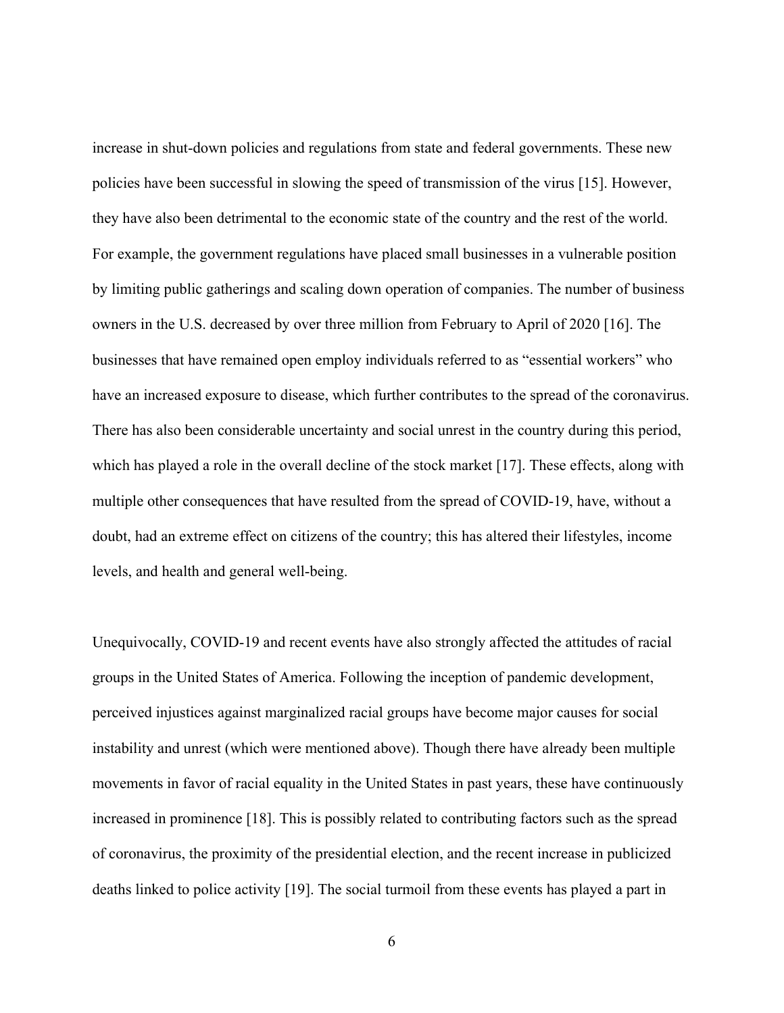increase in shut-down policies and regulations from state and federal governments. These new policies have been successful in slowing the speed of transmission of the virus [15]. However, they have also been detrimental to the economic state of the country and the rest of the world. For example, the government regulations have placed small businesses in a vulnerable position by limiting public gatherings and scaling down operation of companies. The number of business owners in the U.S. decreased by over three million from February to April of 2020 [16]. The businesses that have remained open employ individuals referred to as "essential workers" who have an increased exposure to disease, which further contributes to the spread of the coronavirus. There has also been considerable uncertainty and social unrest in the country during this period, which has played a role in the overall decline of the stock market [17]. These effects, along with multiple other consequences that have resulted from the spread of COVID-19, have, without a doubt, had an extreme effect on citizens of the country; this has altered their lifestyles, income levels, and health and general well-being.

Unequivocally, COVID-19 and recent events have also strongly affected the attitudes of racial groups in the United States of America. Following the inception of pandemic development, perceived injustices against marginalized racial groups have become major causes for social instability and unrest (which were mentioned above). Though there have already been multiple movements in favor of racial equality in the United States in past years, these have continuously increased in prominence [18]. This is possibly related to contributing factors such as the spread of coronavirus, the proximity of the presidential election, and the recent increase in publicized deaths linked to police activity [19]. The social turmoil from these events has played a part in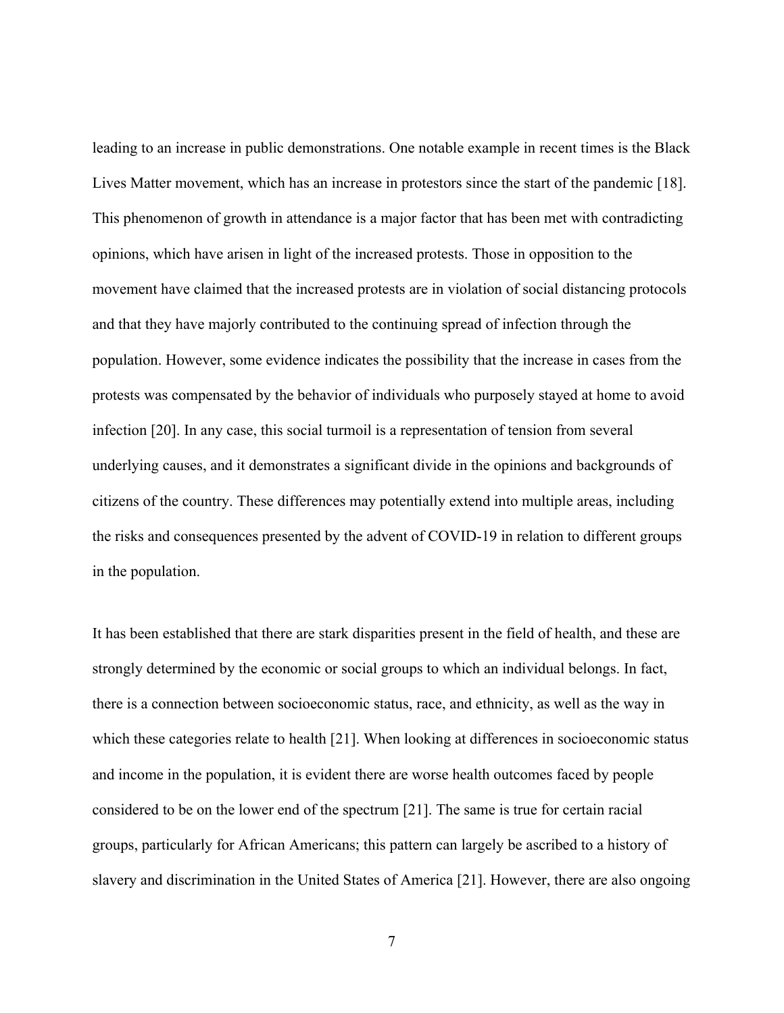leading to an increase in public demonstrations. One notable example in recent times is the Black Lives Matter movement, which has an increase in protestors since the start of the pandemic [18]. This phenomenon of growth in attendance is a major factor that has been met with contradicting opinions, which have arisen in light of the increased protests. Those in opposition to the movement have claimed that the increased protests are in violation of social distancing protocols and that they have majorly contributed to the continuing spread of infection through the population. However, some evidence indicates the possibility that the increase in cases from the protests was compensated by the behavior of individuals who purposely stayed at home to avoid infection [20]. In any case, this social turmoil is a representation of tension from several underlying causes, and it demonstrates a significant divide in the opinions and backgrounds of citizens of the country. These differences may potentially extend into multiple areas, including the risks and consequences presented by the advent of COVID-19 in relation to different groups in the population.

It has been established that there are stark disparities present in the field of health, and these are strongly determined by the economic or social groups to which an individual belongs. In fact, there is a connection between socioeconomic status, race, and ethnicity, as well as the way in which these categories relate to health [21]. When looking at differences in socioeconomic status and income in the population, it is evident there are worse health outcomes faced by people considered to be on the lower end of the spectrum [21]. The same is true for certain racial groups, particularly for African Americans; this pattern can largely be ascribed to a history of slavery and discrimination in the United States of America [21]. However, there are also ongoing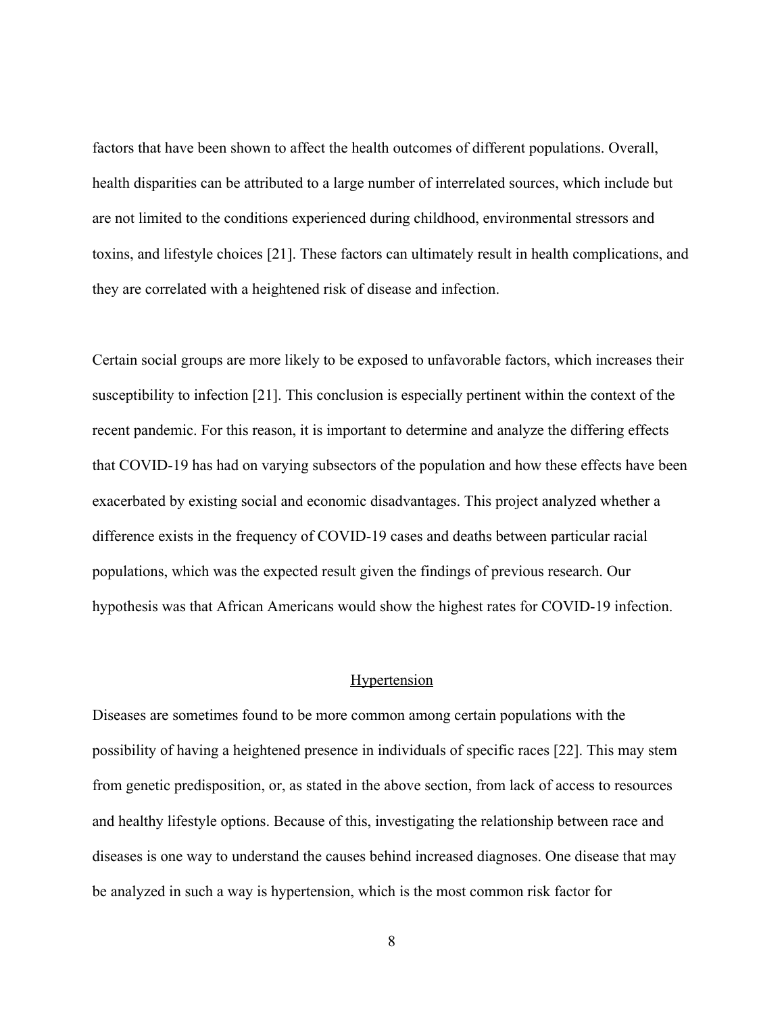factors that have been shown to affect the health outcomes of different populations. Overall, health disparities can be attributed to a large number of interrelated sources, which include but are not limited to the conditions experienced during childhood, environmental stressors and toxins, and lifestyle choices [21]. These factors can ultimately result in health complications, and they are correlated with a heightened risk of disease and infection.

Certain social groups are more likely to be exposed to unfavorable factors, which increases their susceptibility to infection [21]. This conclusion is especially pertinent within the context of the recent pandemic. For this reason, it is important to determine and analyze the differing effects that COVID-19 has had on varying subsectors of the population and how these effects have been exacerbated by existing social and economic disadvantages. This project analyzed whether a difference exists in the frequency of COVID-19 cases and deaths between particular racial populations, which was the expected result given the findings of previous research. Our hypothesis was that African Americans would show the highest rates for COVID-19 infection.

#### **Hypertension**

Diseases are sometimes found to be more common among certain populations with the possibility of having a heightened presence in individuals of specific races [22]. This may stem from genetic predisposition, or, as stated in the above section, from lack of access to resources and healthy lifestyle options. Because of this, investigating the relationship between race and diseases is one way to understand the causes behind increased diagnoses. One disease that may be analyzed in such a way is hypertension, which is the most common risk factor for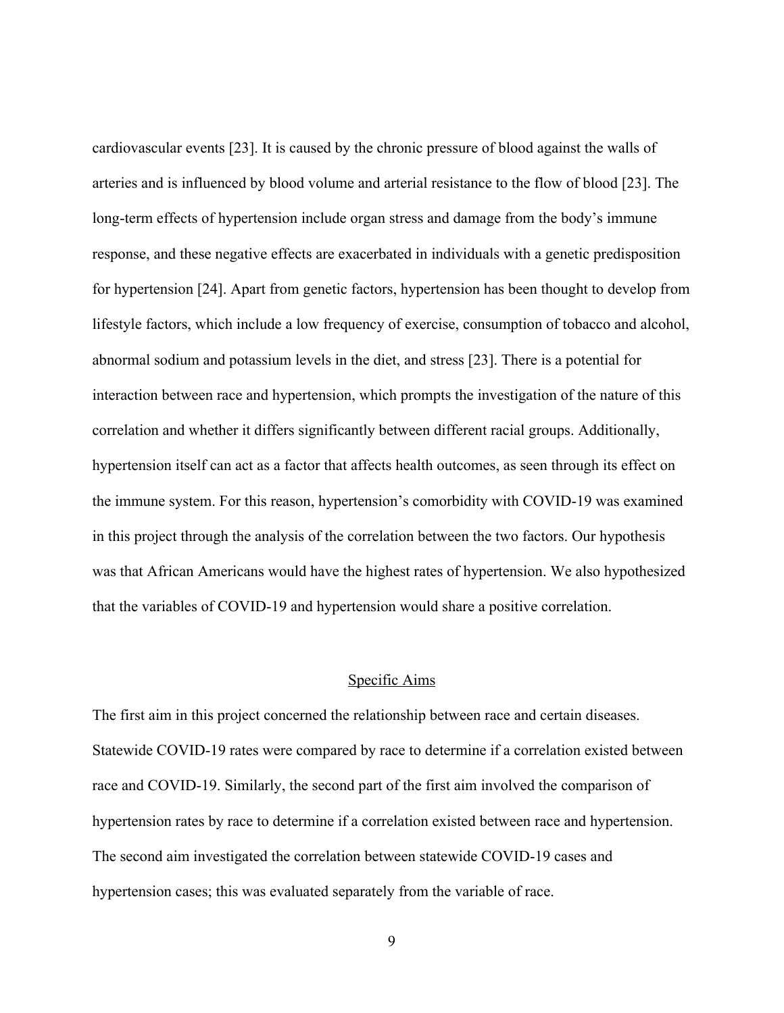cardiovascular events [23]. It is caused by the chronic pressure of blood against the walls of arteries and is influenced by blood volume and arterial resistance to the flow of blood [23]. The long-term effects of hypertension include organ stress and damage from the body's immune response, and these negative effects are exacerbated in individuals with a genetic predisposition for hypertension [24]. Apart from genetic factors, hypertension has been thought to develop from lifestyle factors, which include a low frequency of exercise, consumption of tobacco and alcohol, abnormal sodium and potassium levels in the diet, and stress [23]. There is a potential for interaction between race and hypertension, which prompts the investigation of the nature of this correlation and whether it differs significantly between different racial groups. Additionally, hypertension itself can act as a factor that affects health outcomes, as seen through its effect on the immune system. For this reason, hypertension's comorbidity with COVID-19 was examined in this project through the analysis of the correlation between the two factors. Our hypothesis was that African Americans would have the highest rates of hypertension. We also hypothesized that the variables of COVID-19 and hypertension would share a positive correlation.

#### Specific Aims

The first aim in this project concerned the relationship between race and certain diseases. Statewide COVID-19 rates were compared by race to determine if a correlation existed between race and COVID-19. Similarly, the second part of the first aim involved the comparison of hypertension rates by race to determine if a correlation existed between race and hypertension. The second aim investigated the correlation between statewide COVID-19 cases and hypertension cases; this was evaluated separately from the variable of race.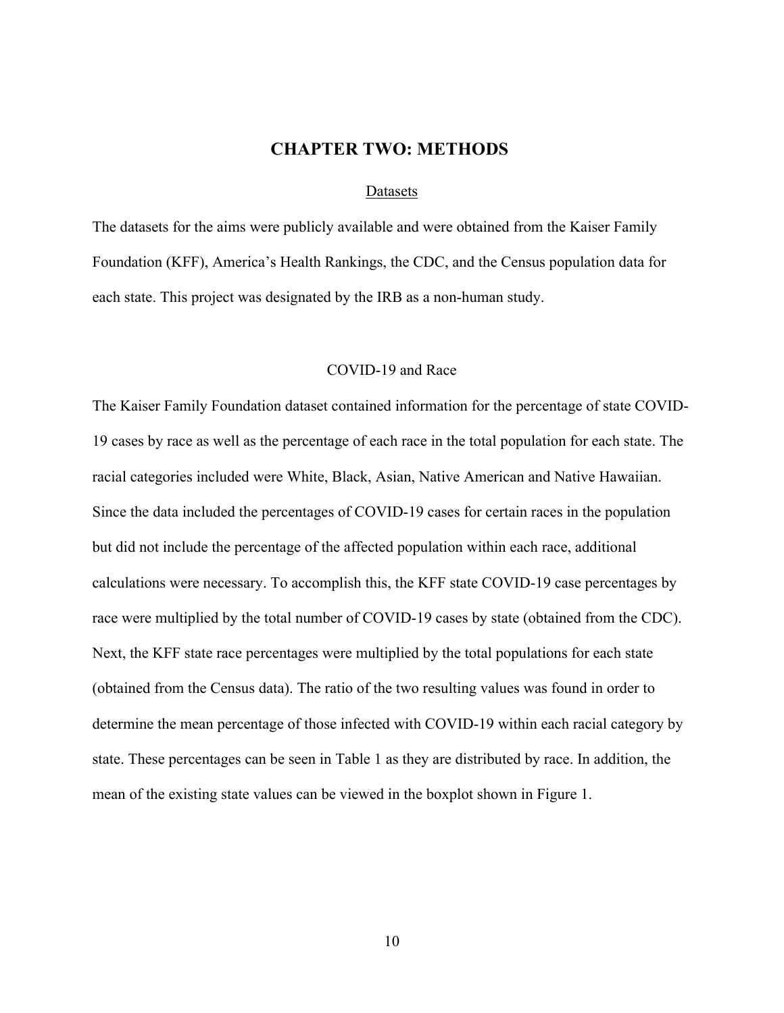## **CHAPTER TWO: METHODS**

#### Datasets

The datasets for the aims were publicly available and were obtained from the Kaiser Family Foundation (KFF), America's Health Rankings, the CDC, and the Census population data for each state. This project was designated by the IRB as a non-human study.

#### COVID-19 and Race

The Kaiser Family Foundation dataset contained information for the percentage of state COVID-19 cases by race as well as the percentage of each race in the total population for each state. The racial categories included were White, Black, Asian, Native American and Native Hawaiian. Since the data included the percentages of COVID-19 cases for certain races in the population but did not include the percentage of the affected population within each race, additional calculations were necessary. To accomplish this, the KFF state COVID-19 case percentages by race were multiplied by the total number of COVID-19 cases by state (obtained from the CDC). Next, the KFF state race percentages were multiplied by the total populations for each state (obtained from the Census data). The ratio of the two resulting values was found in order to determine the mean percentage of those infected with COVID-19 within each racial category by state. These percentages can be seen in Table 1 as they are distributed by race. In addition, the mean of the existing state values can be viewed in the boxplot shown in Figure 1.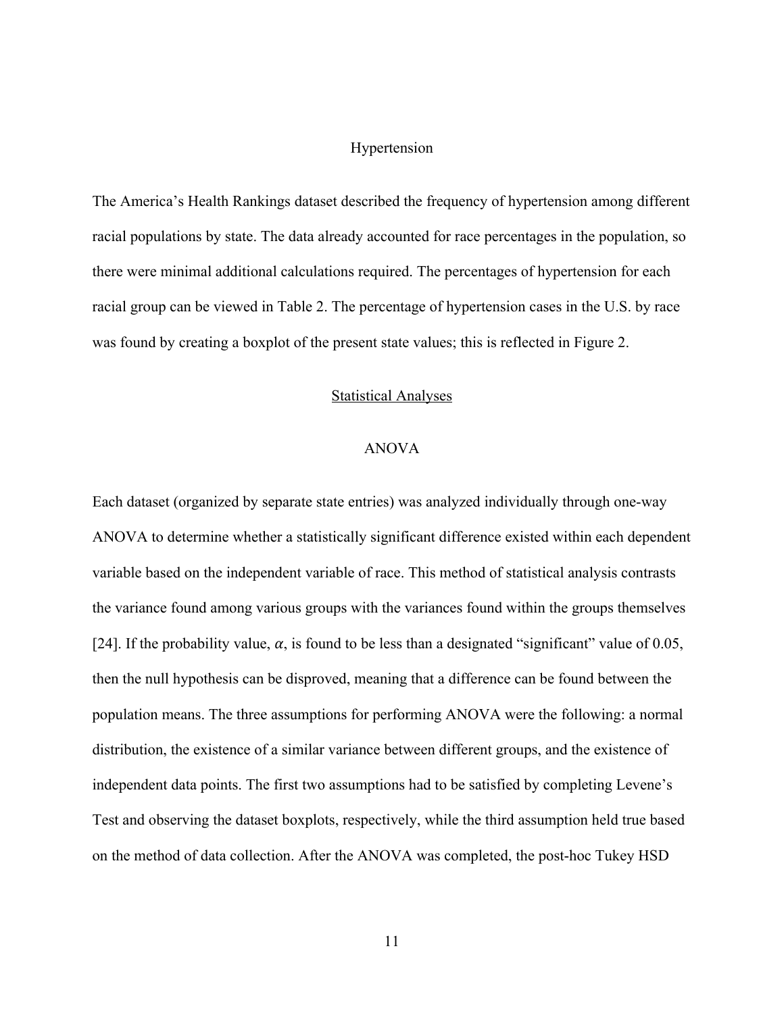#### Hypertension

The America's Health Rankings dataset described the frequency of hypertension among different racial populations by state. The data already accounted for race percentages in the population, so there were minimal additional calculations required. The percentages of hypertension for each racial group can be viewed in Table 2. The percentage of hypertension cases in the U.S. by race was found by creating a boxplot of the present state values; this is reflected in Figure 2.

#### Statistical Analyses

#### ANOVA

Each dataset (organized by separate state entries) was analyzed individually through one-way ANOVA to determine whether a statistically significant difference existed within each dependent variable based on the independent variable of race. This method of statistical analysis contrasts the variance found among various groups with the variances found within the groups themselves [24]. If the probability value,  $\alpha$ , is found to be less than a designated "significant" value of 0.05, then the null hypothesis can be disproved, meaning that a difference can be found between the population means. The three assumptions for performing ANOVA were the following: a normal distribution, the existence of a similar variance between different groups, and the existence of independent data points. The first two assumptions had to be satisfied by completing Levene's Test and observing the dataset boxplots, respectively, while the third assumption held true based on the method of data collection. After the ANOVA was completed, the post-hoc Tukey HSD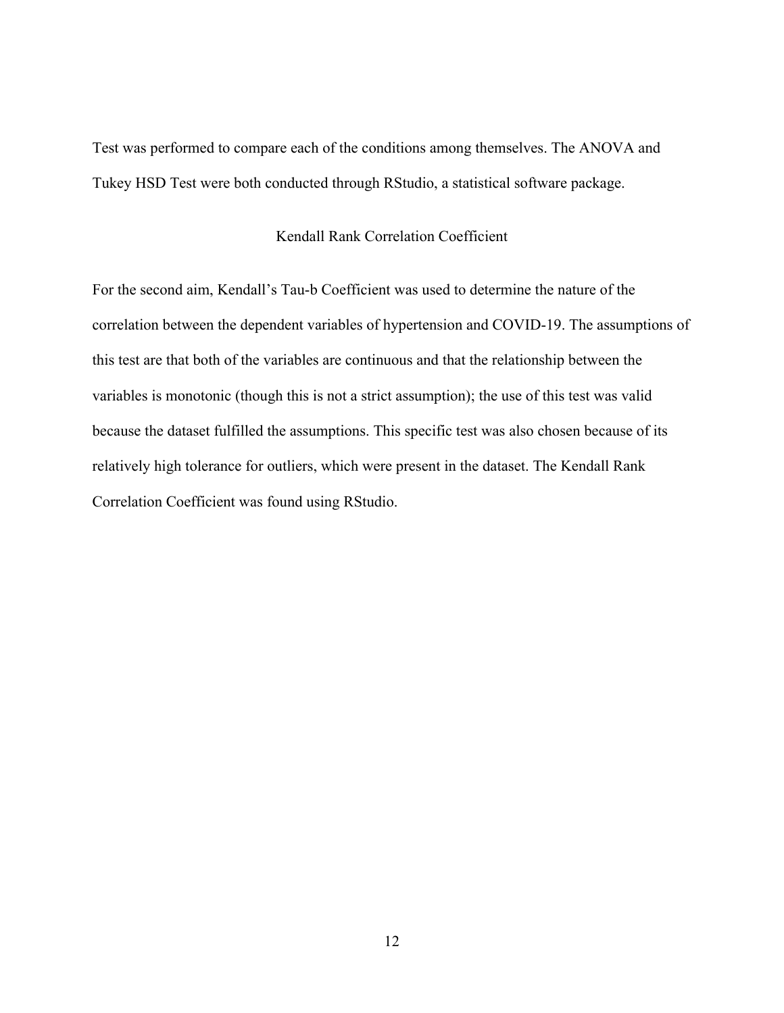Test was performed to compare each of the conditions among themselves. The ANOVA and Tukey HSD Test were both conducted through RStudio, a statistical software package.

### Kendall Rank Correlation Coefficient

For the second aim, Kendall's Tau-b Coefficient was used to determine the nature of the correlation between the dependent variables of hypertension and COVID-19. The assumptions of this test are that both of the variables are continuous and that the relationship between the variables is monotonic (though this is not a strict assumption); the use of this test was valid because the dataset fulfilled the assumptions. This specific test was also chosen because of its relatively high tolerance for outliers, which were present in the dataset. The Kendall Rank Correlation Coefficient was found using RStudio.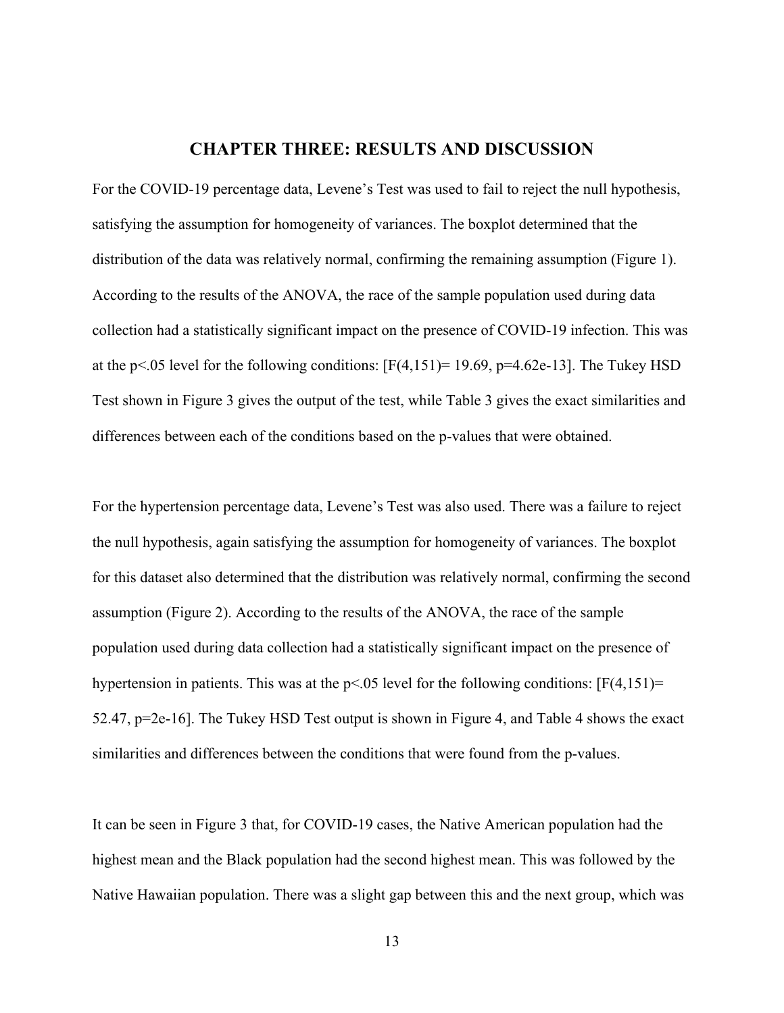## **CHAPTER THREE: RESULTS AND DISCUSSION**

For the COVID-19 percentage data, Levene's Test was used to fail to reject the null hypothesis, satisfying the assumption for homogeneity of variances. The boxplot determined that the distribution of the data was relatively normal, confirming the remaining assumption (Figure 1). According to the results of the ANOVA, the race of the sample population used during data collection had a statistically significant impact on the presence of COVID-19 infection. This was at the p<.05 level for the following conditions:  $[F(4,151)=19.69, p=4.62e-13]$ . The Tukey HSD Test shown in Figure 3 gives the output of the test, while Table 3 gives the exact similarities and differences between each of the conditions based on the p-values that were obtained.

For the hypertension percentage data, Levene's Test was also used. There was a failure to reject the null hypothesis, again satisfying the assumption for homogeneity of variances. The boxplot for this dataset also determined that the distribution was relatively normal, confirming the second assumption (Figure 2). According to the results of the ANOVA, the race of the sample population used during data collection had a statistically significant impact on the presence of hypertension in patients. This was at the  $p<0.05$  level for the following conditions:  $[F(4,151)]=$ 52.47, p=2e-16]. The Tukey HSD Test output is shown in Figure 4, and Table 4 shows the exact similarities and differences between the conditions that were found from the p-values.

It can be seen in Figure 3 that, for COVID-19 cases, the Native American population had the highest mean and the Black population had the second highest mean. This was followed by the Native Hawaiian population. There was a slight gap between this and the next group, which was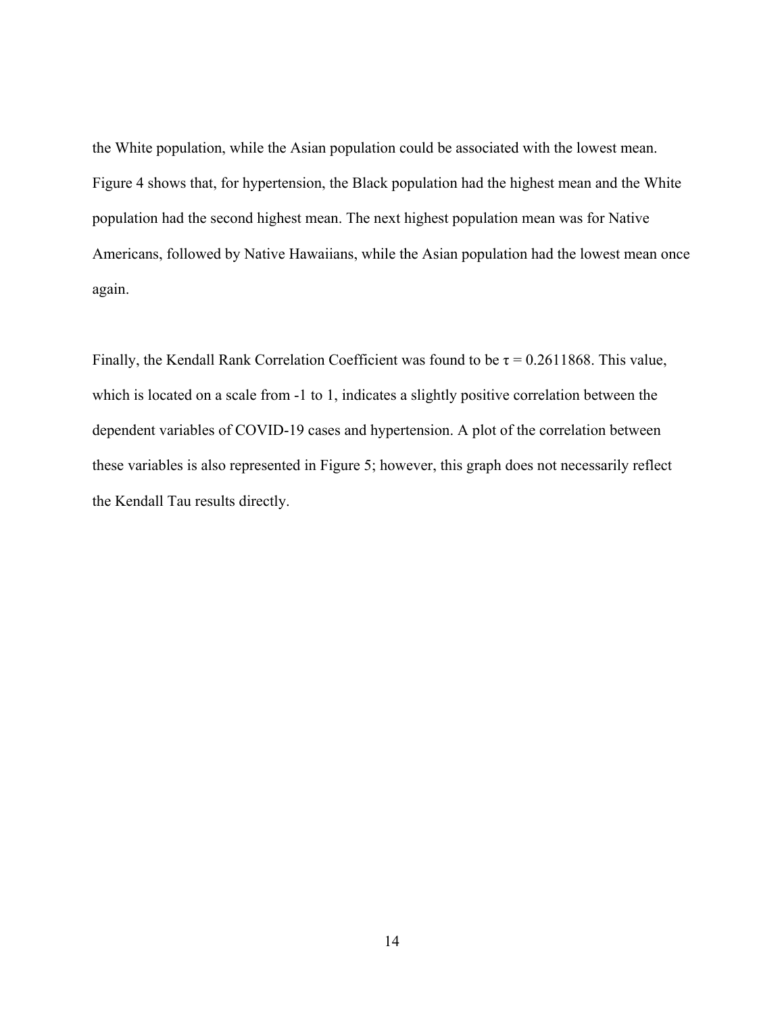the White population, while the Asian population could be associated with the lowest mean. Figure 4 shows that, for hypertension, the Black population had the highest mean and the White population had the second highest mean. The next highest population mean was for Native Americans, followed by Native Hawaiians, while the Asian population had the lowest mean once again.

Finally, the Kendall Rank Correlation Coefficient was found to be  $\tau = 0.2611868$ . This value, which is located on a scale from -1 to 1, indicates a slightly positive correlation between the dependent variables of COVID-19 cases and hypertension. A plot of the correlation between these variables is also represented in Figure 5; however, this graph does not necessarily reflect the Kendall Tau results directly.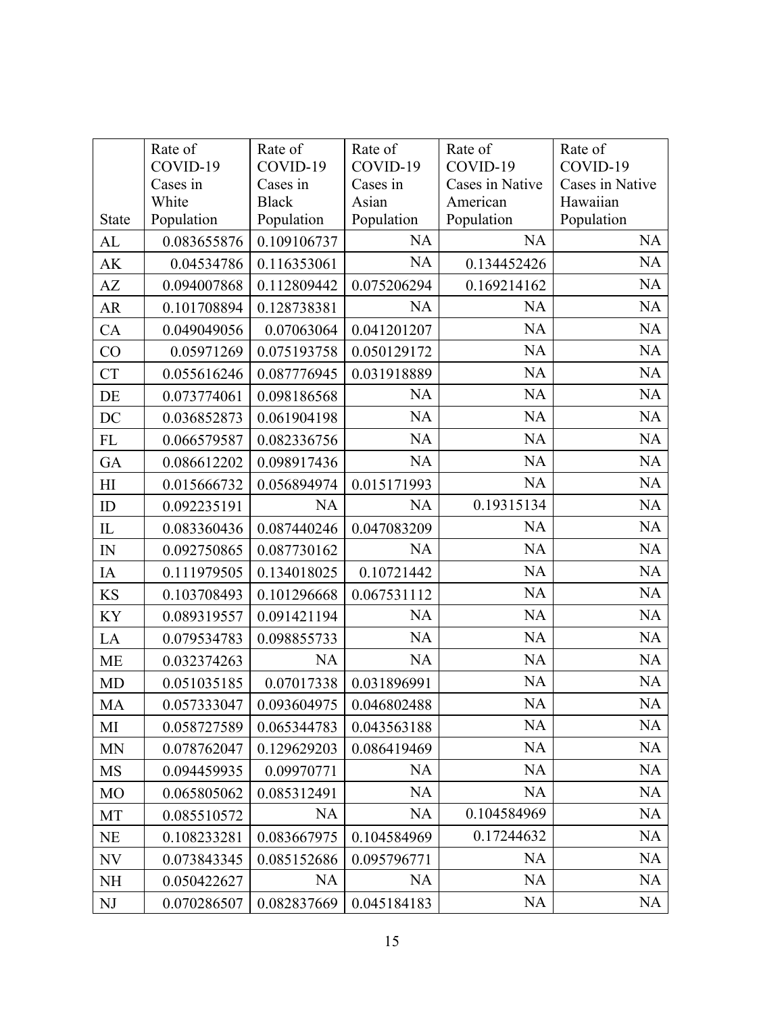|                | Rate of<br>COVID-19 | Rate of<br>COVID-19 | Rate of<br>COVID-19 | Rate of<br>COVID-19 | Rate of<br>COVID-19 |
|----------------|---------------------|---------------------|---------------------|---------------------|---------------------|
|                | Cases in            | Cases in            | Cases in            | Cases in Native     | Cases in Native     |
|                | White               | <b>Black</b>        | Asian               | American            | Hawaiian            |
| <b>State</b>   | Population          | Population          | Population          | Population          | Population          |
| AL             | 0.083655876         | 0.109106737         | <b>NA</b>           | <b>NA</b>           | <b>NA</b>           |
| AK             | 0.04534786          | 0.116353061         | <b>NA</b>           | 0.134452426         | <b>NA</b>           |
| AZ             | 0.094007868         | 0.112809442         | 0.075206294         | 0.169214162         | NA                  |
| <b>AR</b>      | 0.101708894         | 0.128738381         | <b>NA</b>           | <b>NA</b>           | <b>NA</b>           |
| CA             | 0.049049056         | 0.07063064          | 0.041201207         | <b>NA</b>           | <b>NA</b>           |
| CO             | 0.05971269          | 0.075193758         | 0.050129172         | <b>NA</b>           | NA                  |
| CT             | 0.055616246         | 0.087776945         | 0.031918889         | <b>NA</b>           | NA                  |
| DE             | 0.073774061         | 0.098186568         | <b>NA</b>           | NA                  | NA                  |
| DC             | 0.036852873         | 0.061904198         | <b>NA</b>           | <b>NA</b>           | <b>NA</b>           |
| FL             | 0.066579587         | 0.082336756         | <b>NA</b>           | <b>NA</b>           | <b>NA</b>           |
| GA             | 0.086612202         | 0.098917436         | <b>NA</b>           | <b>NA</b>           | <b>NA</b>           |
| H <sub>I</sub> | 0.015666732         | 0.056894974         | 0.015171993         | <b>NA</b>           | NA                  |
| ID             | 0.092235191         | <b>NA</b>           | <b>NA</b>           | 0.19315134          | <b>NA</b>           |
| ${\rm IL}$     | 0.083360436         | 0.087440246         | 0.047083209         | <b>NA</b>           | NA                  |
| ${\rm IN}$     | 0.092750865         | 0.087730162         | NA                  | NA                  | <b>NA</b>           |
| IA             | 0.111979505         | 0.134018025         | 0.10721442          | <b>NA</b>           | NA                  |
| <b>KS</b>      | 0.103708493         | 0.101296668         | 0.067531112         | <b>NA</b>           | NA                  |
| KY             | 0.089319557         | 0.091421194         | <b>NA</b>           | <b>NA</b>           | <b>NA</b>           |
| LA             | 0.079534783         | 0.098855733         | <b>NA</b>           | <b>NA</b>           | <b>NA</b>           |
| <b>ME</b>      | 0.032374263         | <b>NA</b>           | <b>NA</b>           | NA                  | <b>NA</b>           |
| MD             | 0.051035185         | 0.07017338          | 0.031896991         | <b>NA</b>           | NA                  |
| <b>MA</b>      | 0.057333047         | 0.093604975         | 0.046802488         | NA                  | NA                  |
| MI             | 0.058727589         | 0.065344783         | 0.043563188         | <b>NA</b>           | NA                  |
| <b>MN</b>      | 0.078762047         | 0.129629203         | 0.086419469         | <b>NA</b>           | <b>NA</b>           |
| MS             | 0.094459935         | 0.09970771          | <b>NA</b>           | <b>NA</b>           | <b>NA</b>           |
| <b>MO</b>      | 0.065805062         | 0.085312491         | <b>NA</b>           | <b>NA</b>           | <b>NA</b>           |
| MT             | 0.085510572         | NA                  | NA                  | 0.104584969         | <b>NA</b>           |
| <b>NE</b>      | 0.108233281         | 0.083667975         | 0.104584969         | 0.17244632          | <b>NA</b>           |
| NV             | 0.073843345         | 0.085152686         | 0.095796771         | <b>NA</b>           | <b>NA</b>           |
| NH             | 0.050422627         | <b>NA</b>           | <b>NA</b>           | <b>NA</b>           | <b>NA</b>           |
| NJ             | 0.070286507         | 0.082837669         | 0.045184183         | <b>NA</b>           | NA                  |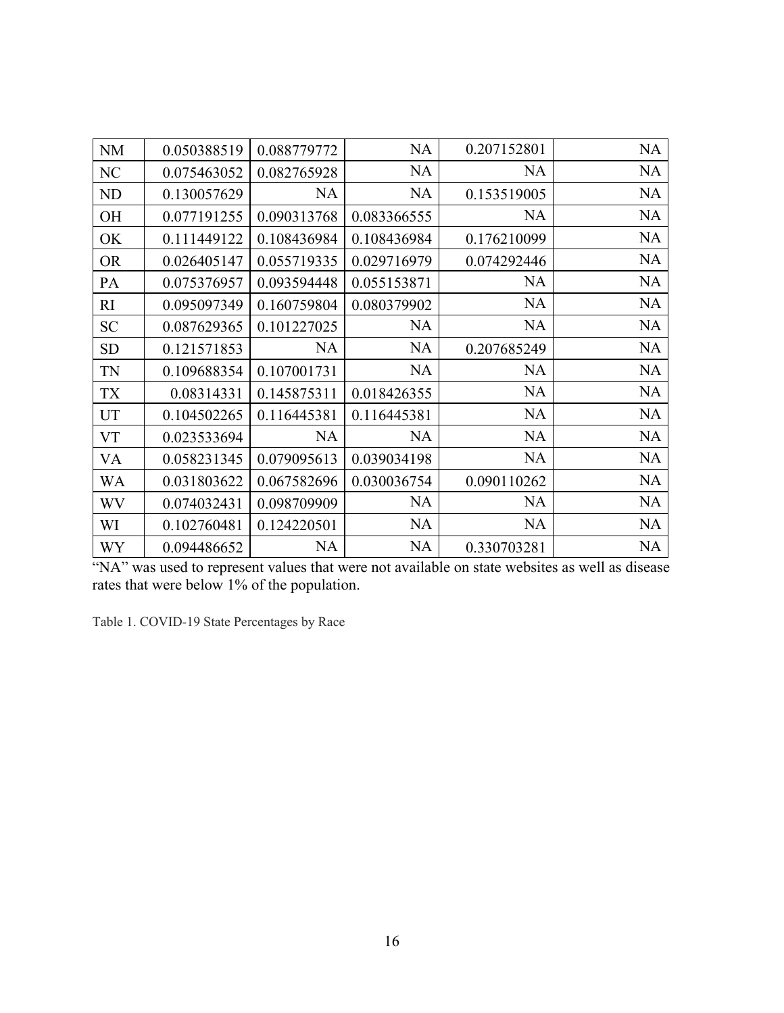| <b>NM</b> | 0.050388519 | 0.088779772 | <b>NA</b>   | 0.207152801 | NA        |
|-----------|-------------|-------------|-------------|-------------|-----------|
| NC        | 0.075463052 | 0.082765928 | <b>NA</b>   | <b>NA</b>   | <b>NA</b> |
| ND        | 0.130057629 | <b>NA</b>   | <b>NA</b>   | 0.153519005 | <b>NA</b> |
| OH        | 0.077191255 | 0.090313768 | 0.083366555 | <b>NA</b>   | <b>NA</b> |
| OK        | 0.111449122 | 0.108436984 | 0.108436984 | 0.176210099 | <b>NA</b> |
| <b>OR</b> | 0.026405147 | 0.055719335 | 0.029716979 | 0.074292446 | <b>NA</b> |
| PA        | 0.075376957 | 0.093594448 | 0.055153871 | <b>NA</b>   | <b>NA</b> |
| RI        | 0.095097349 | 0.160759804 | 0.080379902 | <b>NA</b>   | <b>NA</b> |
| <b>SC</b> | 0.087629365 | 0.101227025 | <b>NA</b>   | <b>NA</b>   | <b>NA</b> |
| <b>SD</b> | 0.121571853 | <b>NA</b>   | <b>NA</b>   | 0.207685249 | <b>NA</b> |
| <b>TN</b> | 0.109688354 | 0.107001731 | <b>NA</b>   | <b>NA</b>   | <b>NA</b> |
| <b>TX</b> | 0.08314331  | 0.145875311 | 0.018426355 | <b>NA</b>   | <b>NA</b> |
| UT        | 0.104502265 | 0.116445381 | 0.116445381 | <b>NA</b>   | <b>NA</b> |
| <b>VT</b> | 0.023533694 | <b>NA</b>   | <b>NA</b>   | <b>NA</b>   | <b>NA</b> |
| VA        | 0.058231345 | 0.079095613 | 0.039034198 | <b>NA</b>   | <b>NA</b> |
| WA        | 0.031803622 | 0.067582696 | 0.030036754 | 0.090110262 | <b>NA</b> |
| <b>WV</b> | 0.074032431 | 0.098709909 | NA          | <b>NA</b>   | <b>NA</b> |
| WI        | 0.102760481 | 0.124220501 | <b>NA</b>   | <b>NA</b>   | <b>NA</b> |
| WY        | 0.094486652 | <b>NA</b>   | <b>NA</b>   | 0.330703281 | <b>NA</b> |

"NA" was used to represent values that were not available on state websites as well as disease rates that were below 1% of the population.

Table 1. COVID-19 State Percentages by Race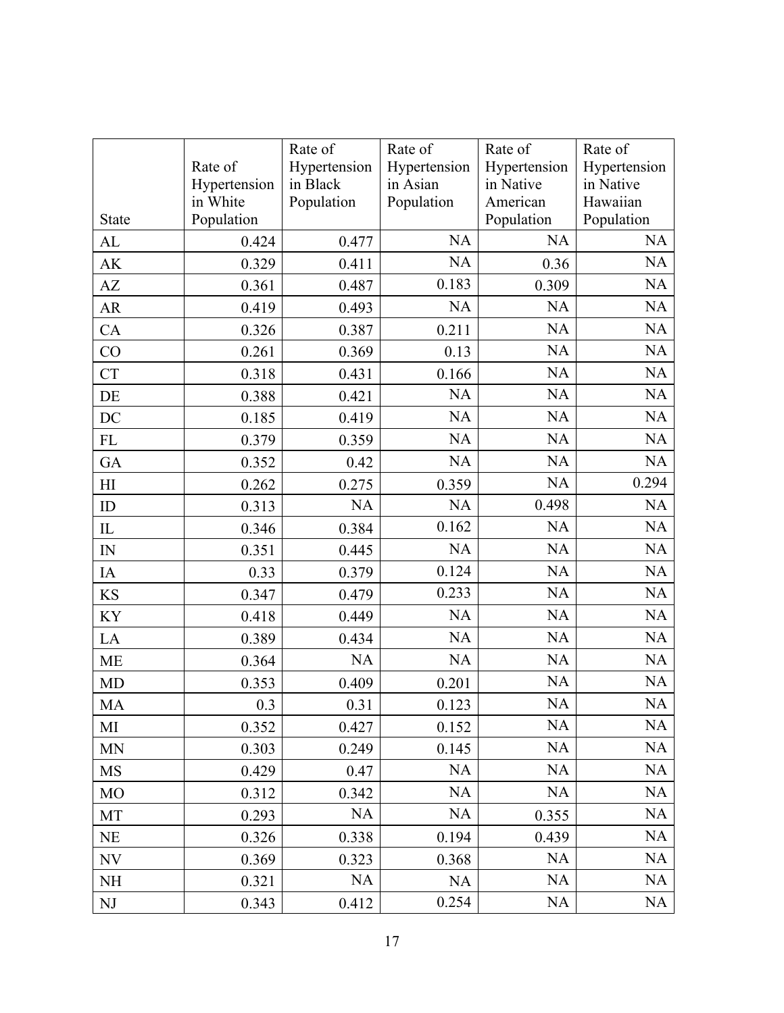|           |              | Rate of      | Rate of      | Rate of      | Rate of      |
|-----------|--------------|--------------|--------------|--------------|--------------|
|           | Rate of      | Hypertension | Hypertension | Hypertension | Hypertension |
|           | Hypertension | in Black     | in Asian     | in Native    | in Native    |
|           | in White     | Population   | Population   | American     | Hawaiian     |
| State     | Population   |              |              | Population   | Population   |
| AL        | 0.424        | 0.477        | <b>NA</b>    | <b>NA</b>    | NA           |
| AK        | 0.329        | 0.411        | <b>NA</b>    | 0.36         | NA           |
| AZ        | 0.361        | 0.487        | 0.183        | 0.309        | NA           |
| AR        | 0.419        | 0.493        | <b>NA</b>    | <b>NA</b>    | NA           |
| CA        | 0.326        | 0.387        | 0.211        | NA           | NA           |
| CO        | 0.261        | 0.369        | 0.13         | <b>NA</b>    | $\rm NA$     |
| <b>CT</b> | 0.318        | 0.431        | 0.166        | <b>NA</b>    | NA           |
| DE        | 0.388        | 0.421        | <b>NA</b>    | NA           | <b>NA</b>    |
| DC        | 0.185        | 0.419        | <b>NA</b>    | <b>NA</b>    | NA           |
| FL        | 0.379        | 0.359        | <b>NA</b>    | NA           | NA           |
| GA        | 0.352        | 0.42         | NA           | <b>NA</b>    | NA           |
| H         | 0.262        | 0.275        | 0.359        | <b>NA</b>    | 0.294        |
| ID        | 0.313        | NA           | <b>NA</b>    | 0.498        | <b>NA</b>    |
| $\rm IL$  | 0.346        | 0.384        | 0.162        | NA           | NA           |
| IN        | 0.351        | 0.445        | NA           | NA           | NA           |
| IA        | 0.33         | 0.379        | 0.124        | <b>NA</b>    | <b>NA</b>    |
| KS        | 0.347        | 0.479        | 0.233        | NA           | NA           |
| KY        | 0.418        | 0.449        | <b>NA</b>    | NA           | NA           |
| LA        | 0.389        | 0.434        | <b>NA</b>    | <b>NA</b>    | <b>NA</b>    |
| ME        | 0.364        | <b>NA</b>    | NA           | <b>NA</b>    | <b>NA</b>    |
| MD        | 0.353        | 0.409        | 0.201        | NA           | NA           |
| <b>MA</b> | 0.3          | 0.31         | 0.123        | NA           | NA           |
| MI        | 0.352        | 0.427        | 0.152        | <b>NA</b>    | NA           |
| <b>MN</b> | 0.303        | 0.249        | 0.145        | <b>NA</b>    | <b>NA</b>    |
| <b>MS</b> | 0.429        | 0.47         | <b>NA</b>    | <b>NA</b>    | <b>NA</b>    |
| <b>MO</b> | 0.312        | 0.342        | <b>NA</b>    | <b>NA</b>    | <b>NA</b>    |
| MT        | 0.293        | <b>NA</b>    | <b>NA</b>    | 0.355        | <b>NA</b>    |
| <b>NE</b> | 0.326        | 0.338        | 0.194        | 0.439        | <b>NA</b>    |
| <b>NV</b> | 0.369        | 0.323        | 0.368        | <b>NA</b>    | NA           |
| NH        | 0.321        | NA           | NA           | <b>NA</b>    | NA           |
| NJ        | 0.343        | 0.412        | 0.254        | $\rm NA$     | NA           |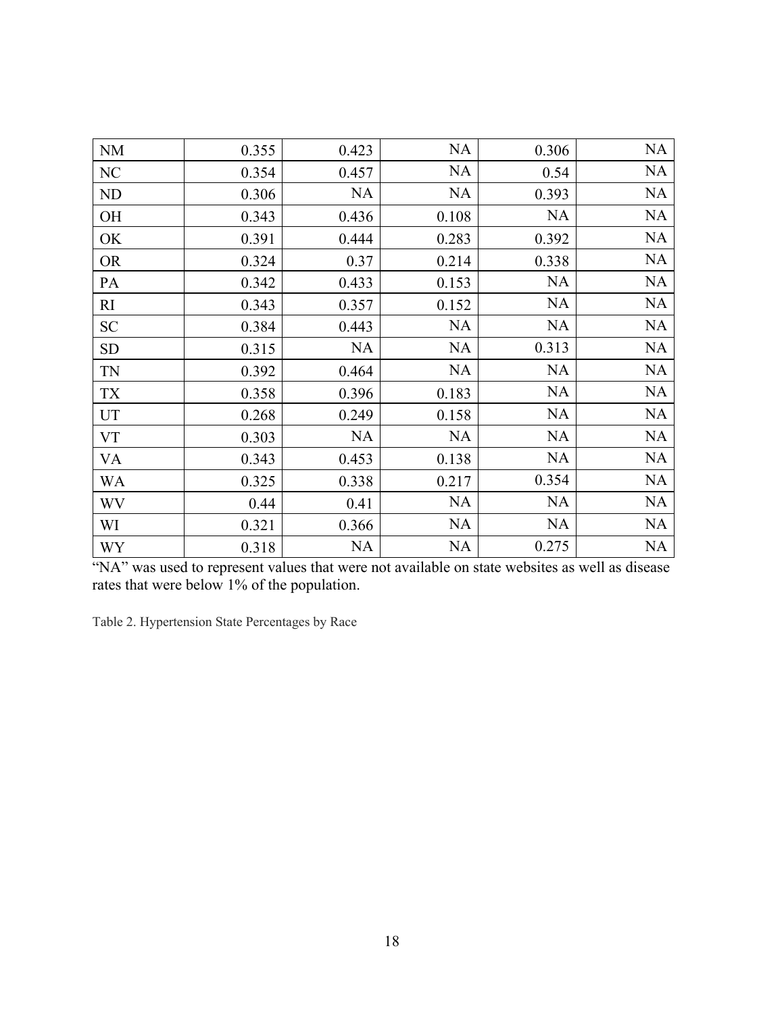|           |       |           | NA        |           | NA        |
|-----------|-------|-----------|-----------|-----------|-----------|
| $\rm NM$  | 0.355 | 0.423     |           | 0.306     |           |
| NC        | 0.354 | 0.457     | <b>NA</b> | 0.54      | NA        |
| ND        | 0.306 | <b>NA</b> | <b>NA</b> | 0.393     | NA        |
| OH        | 0.343 | 0.436     | 0.108     | <b>NA</b> | NA        |
| OK        | 0.391 | 0.444     | 0.283     | 0.392     | NA        |
| <b>OR</b> | 0.324 | 0.37      | 0.214     | 0.338     | NA        |
| PA        | 0.342 | 0.433     | 0.153     | <b>NA</b> | <b>NA</b> |
| RI        | 0.343 | 0.357     | 0.152     | <b>NA</b> | NA        |
| <b>SC</b> | 0.384 | 0.443     | NA        | <b>NA</b> | NA        |
| SD        | 0.315 | <b>NA</b> | <b>NA</b> | 0.313     | <b>NA</b> |
| TN        | 0.392 | 0.464     | <b>NA</b> | <b>NA</b> | <b>NA</b> |
| TX        | 0.358 | 0.396     | 0.183     | <b>NA</b> | <b>NA</b> |
| UT        | 0.268 | 0.249     | 0.158     | <b>NA</b> | <b>NA</b> |
| VT        | 0.303 | <b>NA</b> | <b>NA</b> | <b>NA</b> | <b>NA</b> |
| VA        | 0.343 | 0.453     | 0.138     | <b>NA</b> | NA        |
| WA        | 0.325 | 0.338     | 0.217     | 0.354     | NA        |
| WV        | 0.44  | 0.41      | NA        | <b>NA</b> | NA        |
| WI        | 0.321 | 0.366     | <b>NA</b> | <b>NA</b> | <b>NA</b> |
| <b>WY</b> | 0.318 | <b>NA</b> | <b>NA</b> | 0.275     | <b>NA</b> |

"NA" was used to represent values that were not available on state websites as well as disease rates that were below 1% of the population.

Table 2. Hypertension State Percentages by Race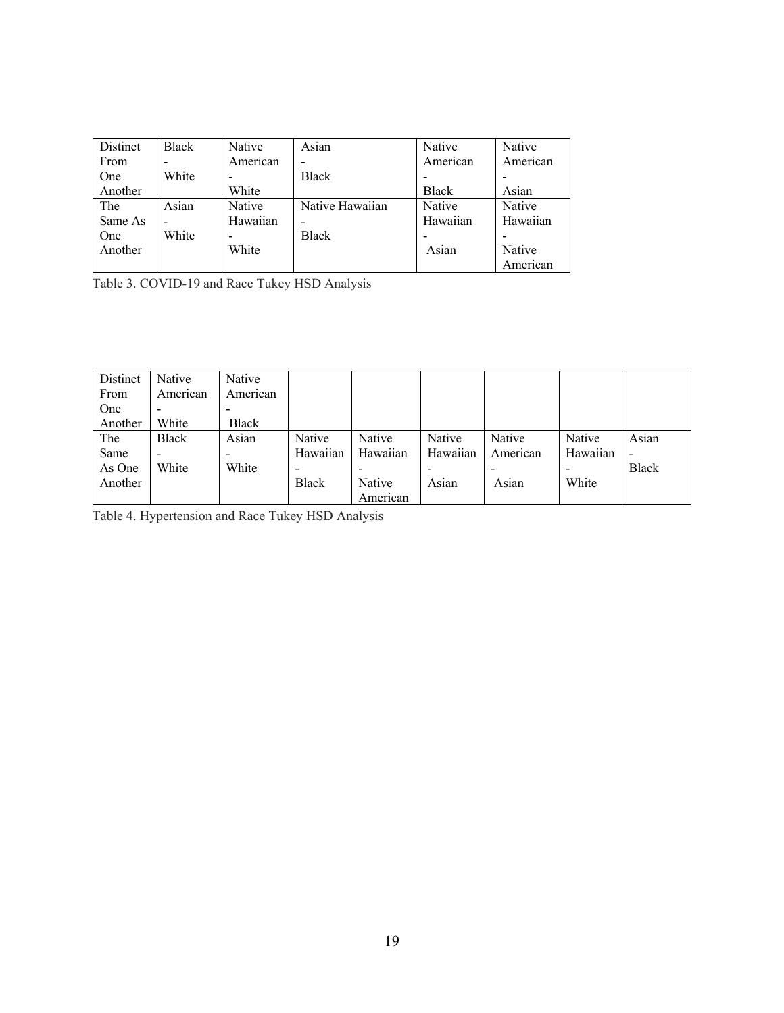| Distinct | <b>Black</b> | Native   | Asian           | Native       | Native   |
|----------|--------------|----------|-----------------|--------------|----------|
| From     |              | American |                 | American     | American |
| One      | White        |          | <b>Black</b>    |              |          |
| Another  |              | White    |                 | <b>Black</b> | Asian    |
| The      | Asian        | Native   | Native Hawaiian | Native       | Native   |
| Same As  |              | Hawaiian |                 | Hawaiian     | Hawaiian |
| One      | White        |          | <b>Black</b>    |              |          |
| Another  |              | White    |                 | Asian        | Native   |
|          |              |          |                 |              | American |

Table 3. COVID-19 and Race Tukey HSD Analysis

| Distinct | Native                   | Native       |          |               |          |          |          |              |
|----------|--------------------------|--------------|----------|---------------|----------|----------|----------|--------------|
| From     | American                 | American     |          |               |          |          |          |              |
| One      | $\overline{\phantom{a}}$ |              |          |               |          |          |          |              |
| Another  | White                    | <b>Black</b> |          |               |          |          |          |              |
| The      | <b>Black</b>             | Asian        | Native   | <b>Native</b> | Native   | Native   | Native   | Asian        |
| Same     | $\overline{\phantom{a}}$ | -            | Hawaiian | Hawaiian      | Hawaiian | American | Hawaiian |              |
| As One   | White                    | White        |          |               |          |          |          | <b>Black</b> |
| Another  |                          |              | Black    | Native        | Asian    | Asian    | White    |              |
|          |                          |              |          | American      |          |          |          |              |

Table 4. Hypertension and Race Tukey HSD Analysis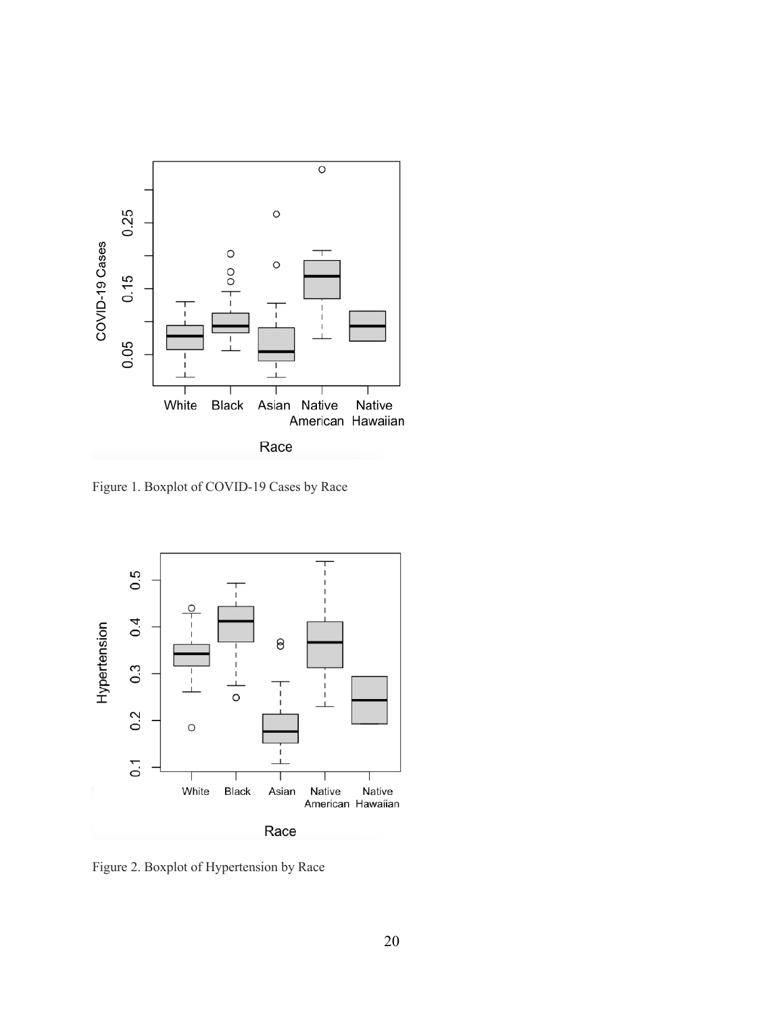

Figure 1. Boxplot of COVID-19 Cases by Race



Figure 2. Boxplot of Hypertension by Race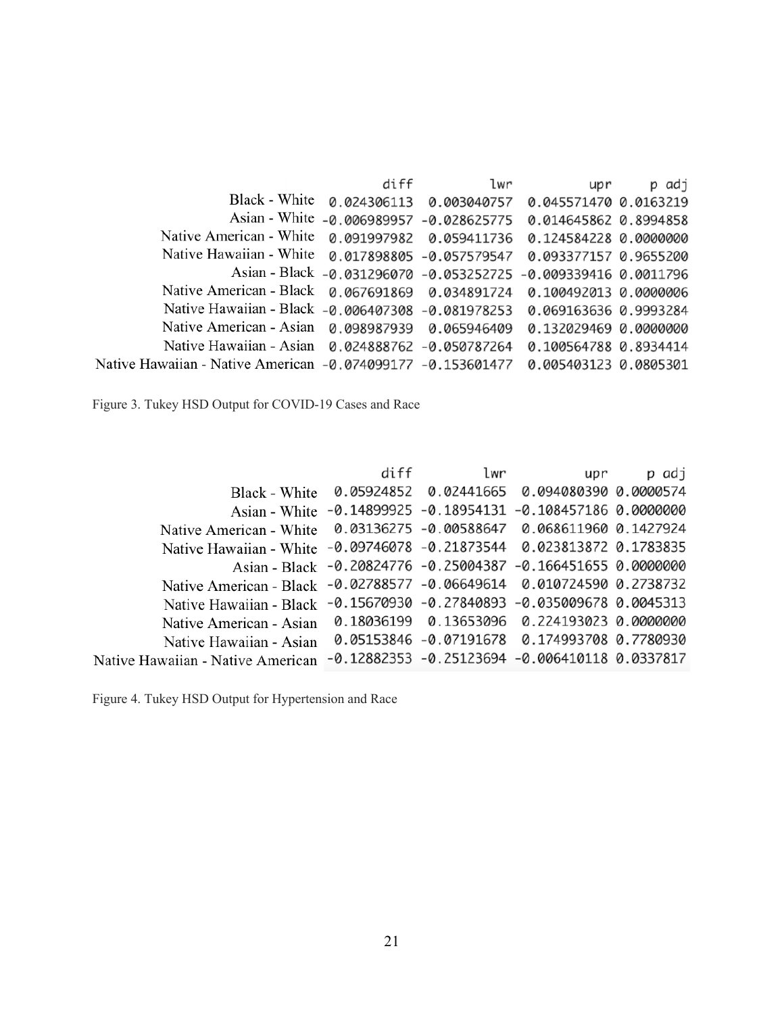|                                                             | diff        | lwr                          | upr                                                            | p adj |
|-------------------------------------------------------------|-------------|------------------------------|----------------------------------------------------------------|-------|
| Black - White                                               | 0.024306113 | 0.003040757                  | 0.045571470 0.0163219                                          |       |
| Asian - White                                               |             | $-0.006989957 - 0.028625775$ | 0.014645862 0.8994858                                          |       |
| Native American - White                                     | 0.091997982 | 0.059411736                  | 0.124584228 0.0000000                                          |       |
| Native Hawaiian - White                                     |             | 0.017898805 -0.057579547     | 0.093377157 0.9655200                                          |       |
|                                                             |             |                              | Asian - Black -0.031296070 -0.053252725 -0.009339416 0.0011796 |       |
| Native American - Black                                     |             | 0.067691869  0.034891724     | 0.100492013 0.0000006                                          |       |
| Native Hawaiian - Black -0.006407308 -0.081978253           |             |                              | 0.069163636 0.9993284                                          |       |
| Native American - Asian                                     |             | 0.098987939 0.065946409      | 0.132029469 0.0000000                                          |       |
| Native Hawaiian - Asian 0.024888762 -0.050787264            |             |                              | 0.100564788 0.8934414                                          |       |
| Native Hawaiian - Native American -0.074099177 -0.153601477 |             |                              | 0.005403123 0.0805301                                          |       |

Figure 3. Tukey HSD Output for COVID-19 Cases and Race

|                                                                        | diff | lwr | upr                                                          | p adj |
|------------------------------------------------------------------------|------|-----|--------------------------------------------------------------|-------|
| Black - White                                                          |      |     | 0.05924852  0.02441665  0.094080390  0.0000574               |       |
|                                                                        |      |     | Asian - White -0.14899925 -0.18954131 -0.108457186 0.0000000 |       |
|                                                                        |      |     |                                                              |       |
| Native Hawaiian - White -0.09746078 -0.21873544 0.023813872 0.1783835  |      |     |                                                              |       |
|                                                                        |      |     | Asian - Black -0.20824776 -0.25004387 -0.166451655 0.0000000 |       |
| Native American - Black -0.02788577 -0.06649614 0.010724590 0.2738732  |      |     |                                                              |       |
| Native Hawaiian - Black -0.15670930 -0.27840893 -0.035009678 0.0045313 |      |     |                                                              |       |
| Native American - Asian                                                |      |     | 0.18036199  0.13653096  0.224193023  0.0000000               |       |
| Native Hawaiian - Asian                                                |      |     | 0.05153846 -0.07191678 0.174993708 0.7780930                 |       |
| Native Hawaiian - Native American                                      |      |     | $-0.12882353 - 0.25123694 - 0.006410118 0.0337817$           |       |

Figure 4. Tukey HSD Output for Hypertension and Race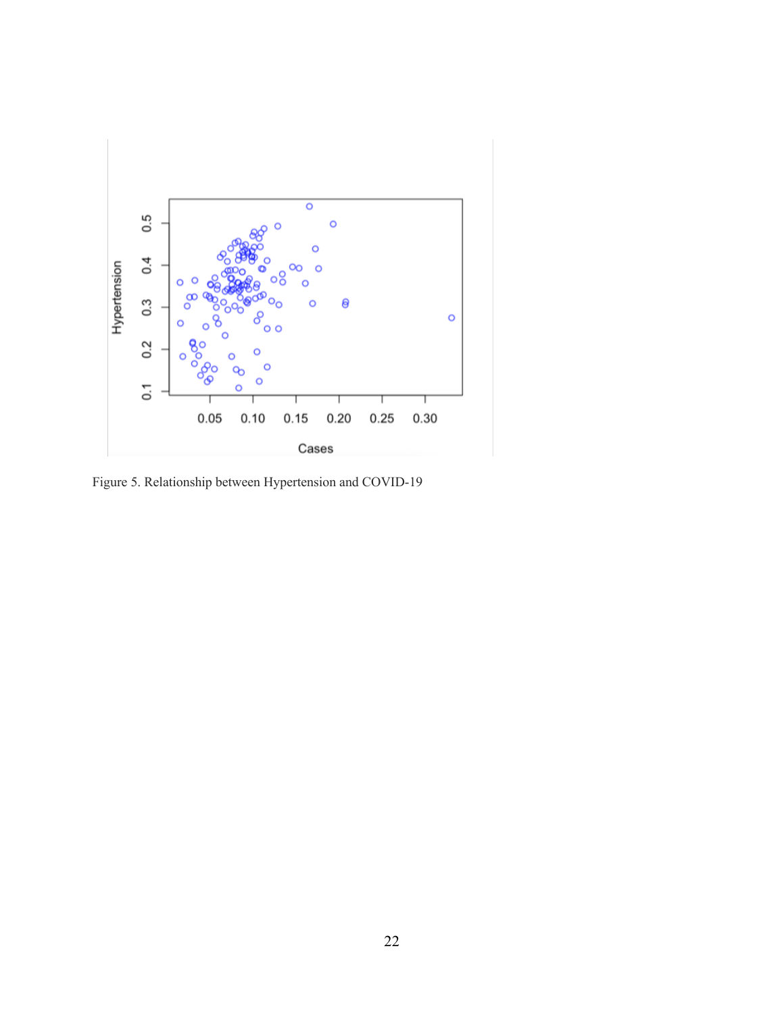

Figure 5. Relationship between Hypertension and COVID-19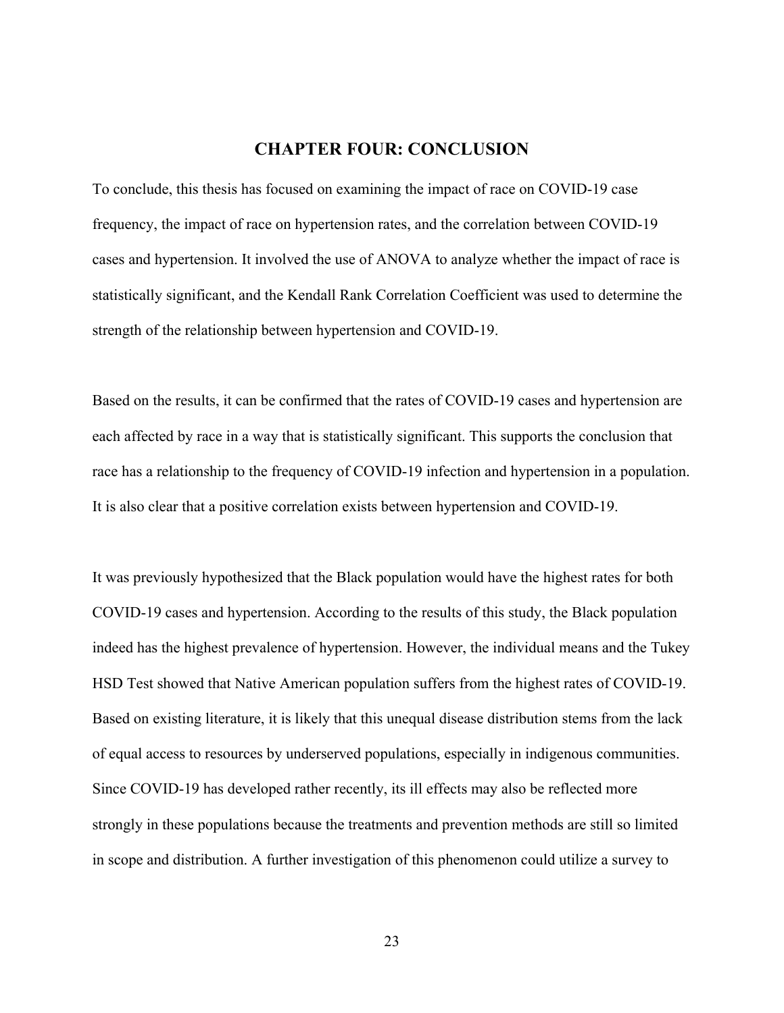### **CHAPTER FOUR: CONCLUSION**

To conclude, this thesis has focused on examining the impact of race on COVID-19 case frequency, the impact of race on hypertension rates, and the correlation between COVID-19 cases and hypertension. It involved the use of ANOVA to analyze whether the impact of race is statistically significant, and the Kendall Rank Correlation Coefficient was used to determine the strength of the relationship between hypertension and COVID-19.

Based on the results, it can be confirmed that the rates of COVID-19 cases and hypertension are each affected by race in a way that is statistically significant. This supports the conclusion that race has a relationship to the frequency of COVID-19 infection and hypertension in a population. It is also clear that a positive correlation exists between hypertension and COVID-19.

It was previously hypothesized that the Black population would have the highest rates for both COVID-19 cases and hypertension. According to the results of this study, the Black population indeed has the highest prevalence of hypertension. However, the individual means and the Tukey HSD Test showed that Native American population suffers from the highest rates of COVID-19. Based on existing literature, it is likely that this unequal disease distribution stems from the lack of equal access to resources by underserved populations, especially in indigenous communities. Since COVID-19 has developed rather recently, its ill effects may also be reflected more strongly in these populations because the treatments and prevention methods are still so limited in scope and distribution. A further investigation of this phenomenon could utilize a survey to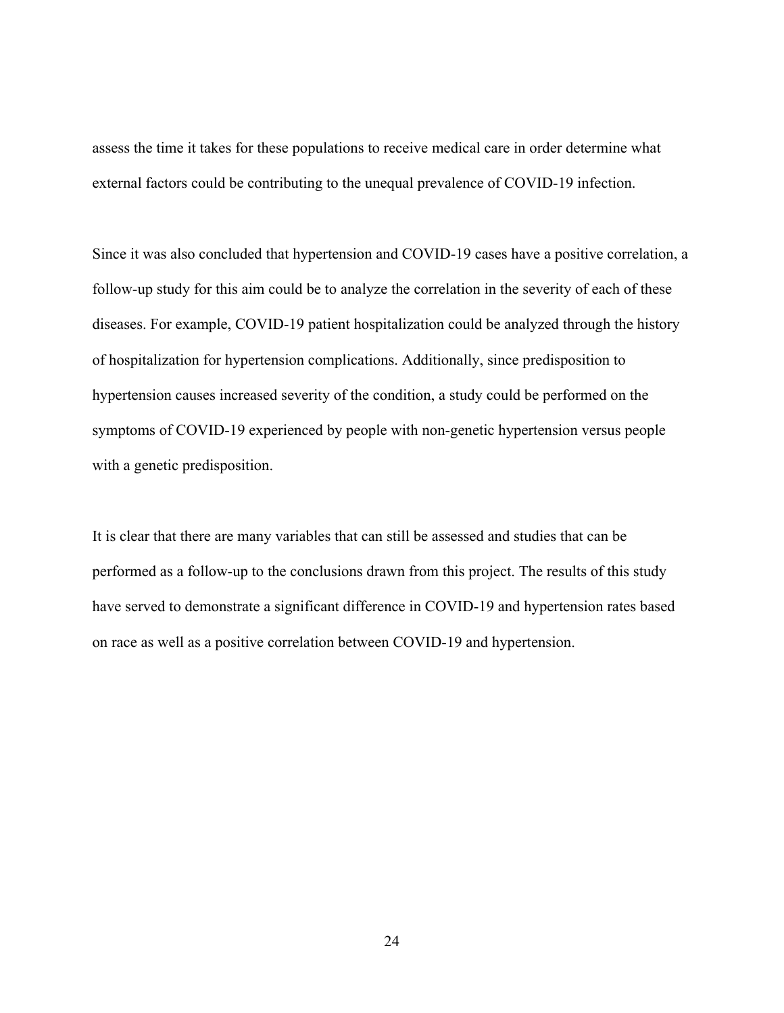assess the time it takes for these populations to receive medical care in order determine what external factors could be contributing to the unequal prevalence of COVID-19 infection.

Since it was also concluded that hypertension and COVID-19 cases have a positive correlation, a follow-up study for this aim could be to analyze the correlation in the severity of each of these diseases. For example, COVID-19 patient hospitalization could be analyzed through the history of hospitalization for hypertension complications. Additionally, since predisposition to hypertension causes increased severity of the condition, a study could be performed on the symptoms of COVID-19 experienced by people with non-genetic hypertension versus people with a genetic predisposition.

It is clear that there are many variables that can still be assessed and studies that can be performed as a follow-up to the conclusions drawn from this project. The results of this study have served to demonstrate a significant difference in COVID-19 and hypertension rates based on race as well as a positive correlation between COVID-19 and hypertension.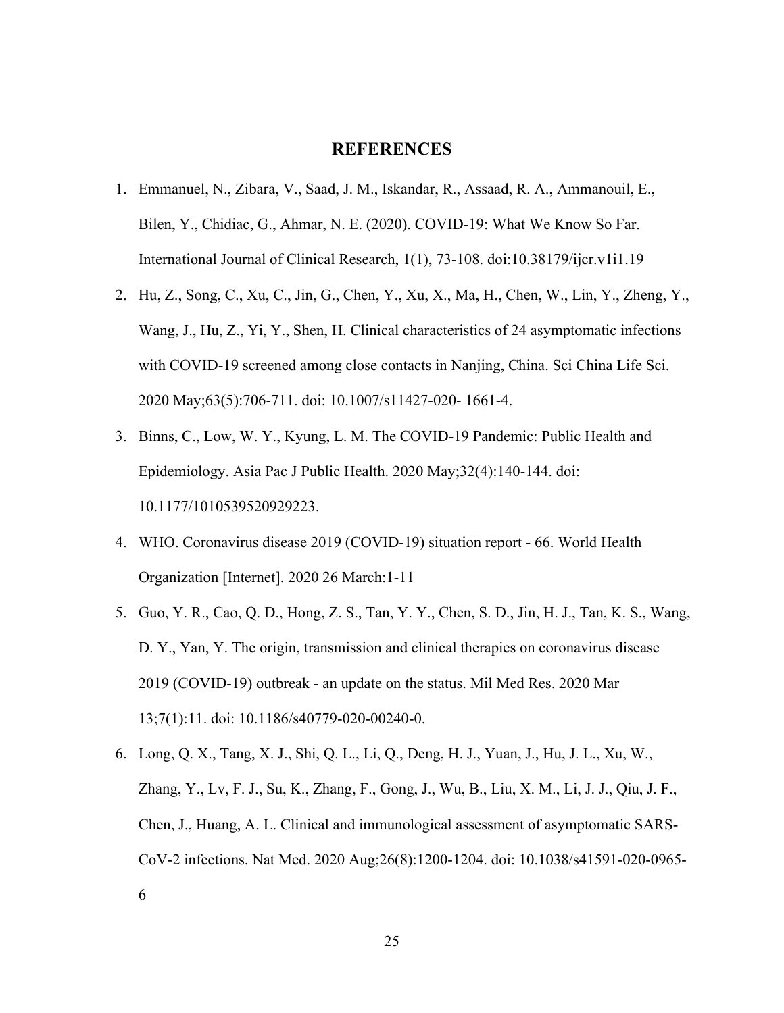#### **REFERENCES**

- 1. Emmanuel, N., Zibara, V., Saad, J. M., Iskandar, R., Assaad, R. A., Ammanouil, E., Bilen, Y., Chidiac, G., Ahmar, N. E. (2020). COVID-19: What We Know So Far. International Journal of Clinical Research, 1(1), 73-108. doi:10.38179/ijcr.v1i1.19
- 2. Hu, Z., Song, C., Xu, C., Jin, G., Chen, Y., Xu, X., Ma, H., Chen, W., Lin, Y., Zheng, Y., Wang, J., Hu, Z., Yi, Y., Shen, H. Clinical characteristics of 24 asymptomatic infections with COVID-19 screened among close contacts in Nanjing, China. Sci China Life Sci. 2020 May;63(5):706-711. doi: 10.1007/s11427-020- 1661-4.
- 3. Binns, C., Low, W. Y., Kyung, L. M. The COVID-19 Pandemic: Public Health and Epidemiology. Asia Pac J Public Health. 2020 May;32(4):140-144. doi: 10.1177/1010539520929223.
- 4. WHO. Coronavirus disease 2019 (COVID-19) situation report 66. World Health Organization [Internet]. 2020 26 March:1-11
- 5. Guo, Y. R., Cao, Q. D., Hong, Z. S., Tan, Y. Y., Chen, S. D., Jin, H. J., Tan, K. S., Wang, D. Y., Yan, Y. The origin, transmission and clinical therapies on coronavirus disease 2019 (COVID-19) outbreak - an update on the status. Mil Med Res. 2020 Mar 13;7(1):11. doi: 10.1186/s40779-020-00240-0.
- 6. Long, Q. X., Tang, X. J., Shi, Q. L., Li, Q., Deng, H. J., Yuan, J., Hu, J. L., Xu, W., Zhang, Y., Lv, F. J., Su, K., Zhang, F., Gong, J., Wu, B., Liu, X. M., Li, J. J., Qiu, J. F., Chen, J., Huang, A. L. Clinical and immunological assessment of asymptomatic SARS-CoV-2 infections. Nat Med. 2020 Aug;26(8):1200-1204. doi: 10.1038/s41591-020-0965- 6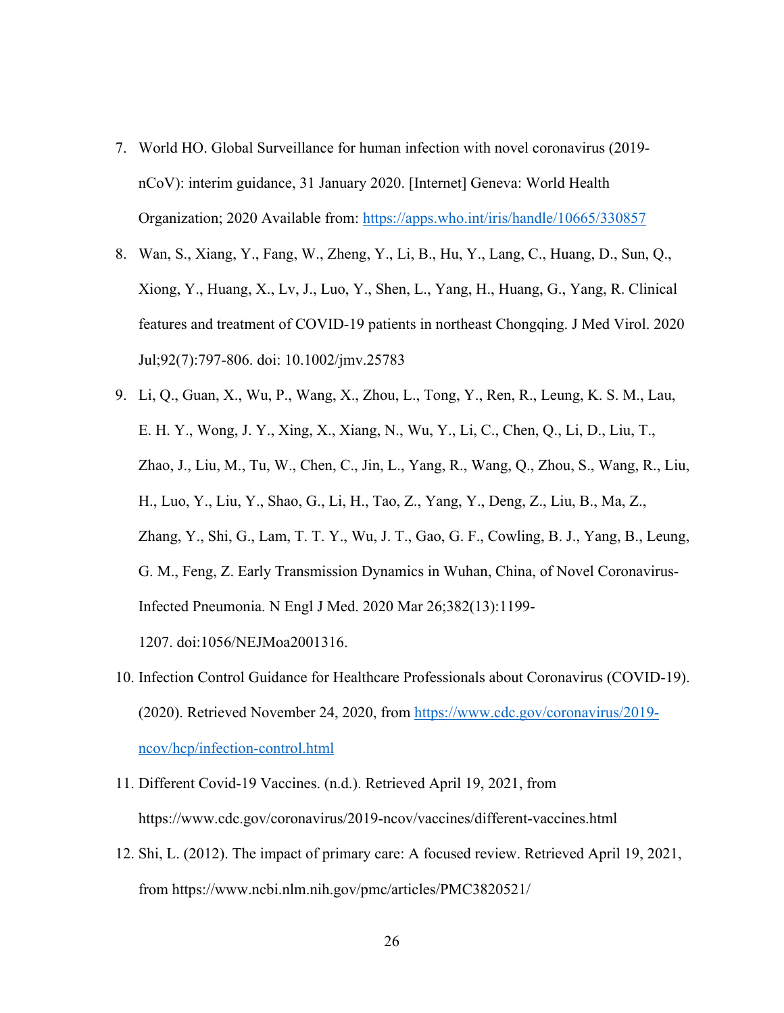- 7. World HO. Global Surveillance for human infection with novel coronavirus (2019 nCoV): interim guidance, 31 January 2020. [Internet] Geneva: World Health Organization; 2020 Available from: https://apps.who.int/iris/handle/10665/330857
- 8. Wan, S., Xiang, Y., Fang, W., Zheng, Y., Li, B., Hu, Y., Lang, C., Huang, D., Sun, Q., Xiong, Y., Huang, X., Lv, J., Luo, Y., Shen, L., Yang, H., Huang, G., Yang, R. Clinical features and treatment of COVID-19 patients in northeast Chongqing. J Med Virol. 2020 Jul;92(7):797-806. doi: 10.1002/jmv.25783
- 9. Li, Q., Guan, X., Wu, P., Wang, X., Zhou, L., Tong, Y., Ren, R., Leung, K. S. M., Lau, E. H. Y., Wong, J. Y., Xing, X., Xiang, N., Wu, Y., Li, C., Chen, Q., Li, D., Liu, T., Zhao, J., Liu, M., Tu, W., Chen, C., Jin, L., Yang, R., Wang, Q., Zhou, S., Wang, R., Liu, H., Luo, Y., Liu, Y., Shao, G., Li, H., Tao, Z., Yang, Y., Deng, Z., Liu, B., Ma, Z., Zhang, Y., Shi, G., Lam, T. T. Y., Wu, J. T., Gao, G. F., Cowling, B. J., Yang, B., Leung, G. M., Feng, Z. Early Transmission Dynamics in Wuhan, China, of Novel Coronavirus-Infected Pneumonia. N Engl J Med. 2020 Mar 26;382(13):1199- 1207. doi:1056/NEJMoa2001316.
- 10. Infection Control Guidance for Healthcare Professionals about Coronavirus (COVID-19). (2020). Retrieved November 24, 2020, from https://www.cdc.gov/coronavirus/2019 ncov/hcp/infection-control.html
- 11. Different Covid-19 Vaccines. (n.d.). Retrieved April 19, 2021, from https://www.cdc.gov/coronavirus/2019-ncov/vaccines/different-vaccines.html
- 12. Shi, L. (2012). The impact of primary care: A focused review. Retrieved April 19, 2021, from https://www.ncbi.nlm.nih.gov/pmc/articles/PMC3820521/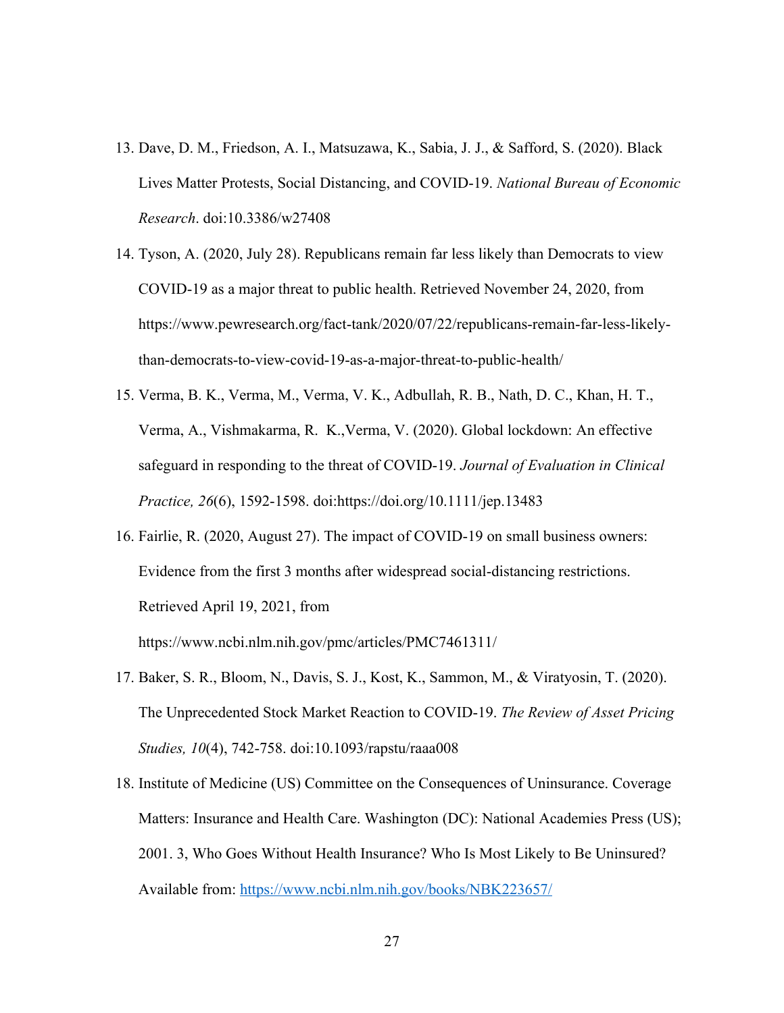- 13. Dave, D. M., Friedson, A. I., Matsuzawa, K., Sabia, J. J., & Safford, S. (2020). Black Lives Matter Protests, Social Distancing, and COVID-19. *National Bureau of Economic Research*. doi:10.3386/w27408
- 14. Tyson, A. (2020, July 28). Republicans remain far less likely than Democrats to view COVID-19 as a major threat to public health. Retrieved November 24, 2020, from https://www.pewresearch.org/fact-tank/2020/07/22/republicans-remain-far-less-likelythan-democrats-to-view-covid-19-as-a-major-threat-to-public-health/
- 15. Verma, B. K., Verma, M., Verma, V. K., Adbullah, R. B., Nath, D. C., Khan, H. T., Verma, A., Vishmakarma, R. K.,Verma, V. (2020). Global lockdown: An effective safeguard in responding to the threat of COVID‐19. *Journal of Evaluation in Clinical Practice, 26*(6), 1592-1598. doi:https://doi.org/10.1111/jep.13483
- 16. Fairlie, R. (2020, August 27). The impact of COVID-19 on small business owners: Evidence from the first 3 months after widespread social-distancing restrictions. Retrieved April 19, 2021, from https://www.ncbi.nlm.nih.gov/pmc/articles/PMC7461311/
- 17. Baker, S. R., Bloom, N., Davis, S. J., Kost, K., Sammon, M., & Viratyosin, T. (2020). The Unprecedented Stock Market Reaction to COVID-19. *The Review of Asset Pricing Studies, 10*(4), 742-758. doi:10.1093/rapstu/raaa008
- 18. Institute of Medicine (US) Committee on the Consequences of Uninsurance. Coverage Matters: Insurance and Health Care. Washington (DC): National Academies Press (US); 2001. 3, Who Goes Without Health Insurance? Who Is Most Likely to Be Uninsured? Available from: https://www.ncbi.nlm.nih.gov/books/NBK223657/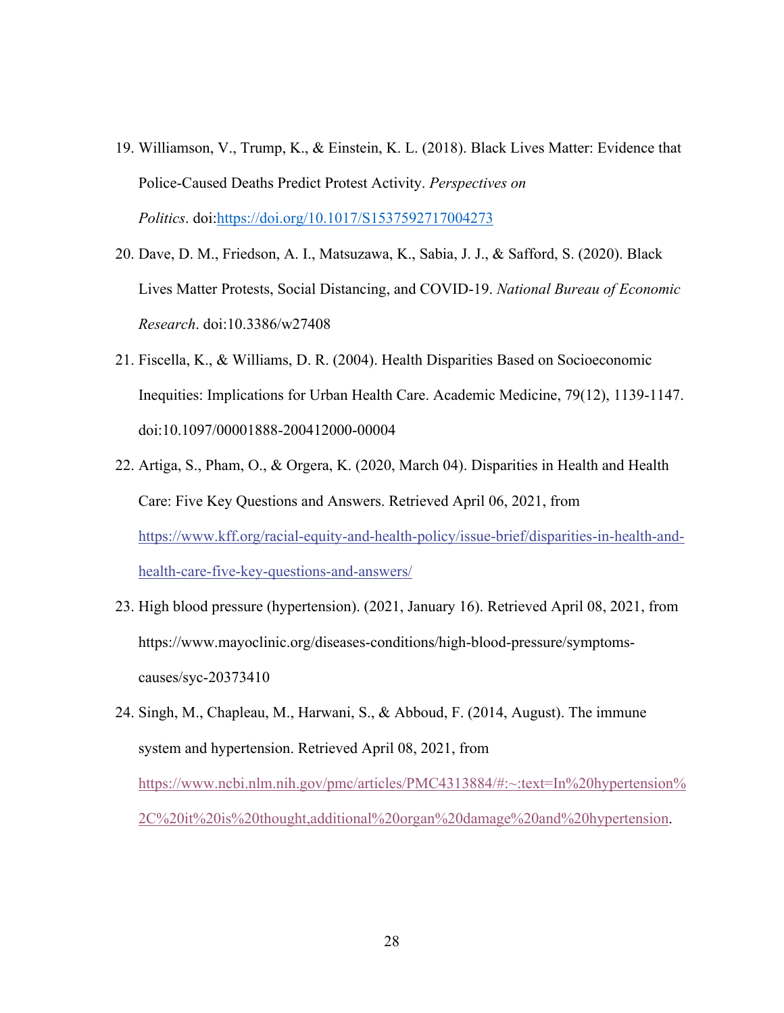- 19. Williamson, V., Trump, K., & Einstein, K. L. (2018). Black Lives Matter: Evidence that Police-Caused Deaths Predict Protest Activity. *Perspectives on Politics*. doi:https://doi.org/10.1017/S1537592717004273
- 20. Dave, D. M., Friedson, A. I., Matsuzawa, K., Sabia, J. J., & Safford, S. (2020). Black Lives Matter Protests, Social Distancing, and COVID-19. *National Bureau of Economic Research*. doi:10.3386/w27408
- 21. Fiscella, K., & Williams, D. R. (2004). Health Disparities Based on Socioeconomic Inequities: Implications for Urban Health Care. Academic Medicine, 79(12), 1139-1147. doi:10.1097/00001888-200412000-00004
- 22. Artiga, S., Pham, O., & Orgera, K. (2020, March 04). Disparities in Health and Health Care: Five Key Questions and Answers. Retrieved April 06, 2021, from https://www.kff.org/racial-equity-and-health-policy/issue-brief/disparities-in-health-andhealth-care-five-key-questions-and-answers/
- 23. High blood pressure (hypertension). (2021, January 16). Retrieved April 08, 2021, from https://www.mayoclinic.org/diseases-conditions/high-blood-pressure/symptomscauses/syc-20373410
- 24. Singh, M., Chapleau, M., Harwani, S., & Abboud, F. (2014, August). The immune system and hypertension. Retrieved April 08, 2021, from https://www.ncbi.nlm.nih.gov/pmc/articles/PMC4313884/#:~:text=In%20hypertension% 2C%20it%20is%20thought,additional%20organ%20damage%20and%20hypertension.